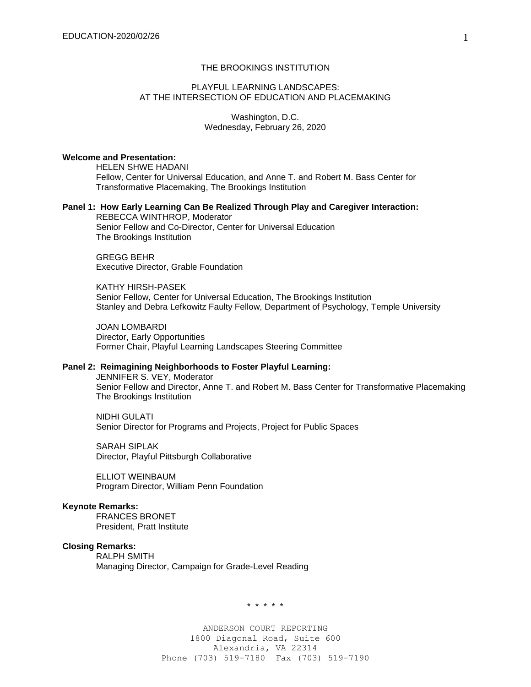## THE BROOKINGS INSTITUTION

## PLAYFUL LEARNING LANDSCAPES: AT THE INTERSECTION OF EDUCATION AND PLACEMAKING

Washington, D.C. Wednesday, February 26, 2020

## **Welcome and Presentation:**

HELEN SHWE HADANI Fellow, Center for Universal Education, and Anne T. and Robert M. Bass Center for Transformative Placemaking, The Brookings Institution

# **Panel 1: How Early Learning Can Be Realized Through Play and Caregiver Interaction:**

REBECCA WINTHROP, Moderator Senior Fellow and Co-Director, Center for Universal Education The Brookings Institution

GREGG BEHR Executive Director, Grable Foundation

KATHY HIRSH-PASEK Senior Fellow, Center for Universal Education, The Brookings Institution Stanley and Debra Lefkowitz Faulty Fellow, Department of Psychology, Temple University

JOAN LOMBARDI Director, Early Opportunities Former Chair, Playful Learning Landscapes Steering Committee

## **Panel 2: Reimagining Neighborhoods to Foster Playful Learning:**

JENNIFER S. VEY, Moderator Senior Fellow and Director, Anne T. and Robert M. Bass Center for Transformative Placemaking The Brookings Institution

NIDHI GULATI Senior Director for Programs and Projects, Project for Public Spaces

SARAH SIPLAK Director, Playful Pittsburgh Collaborative

ELLIOT WEINBAUM Program Director, William Penn Foundation

#### **Keynote Remarks:**

FRANCES BRONET President, Pratt Institute

#### **Closing Remarks:**

RALPH SMITH Managing Director, Campaign for Grade-Level Reading

\* \* \* \* \*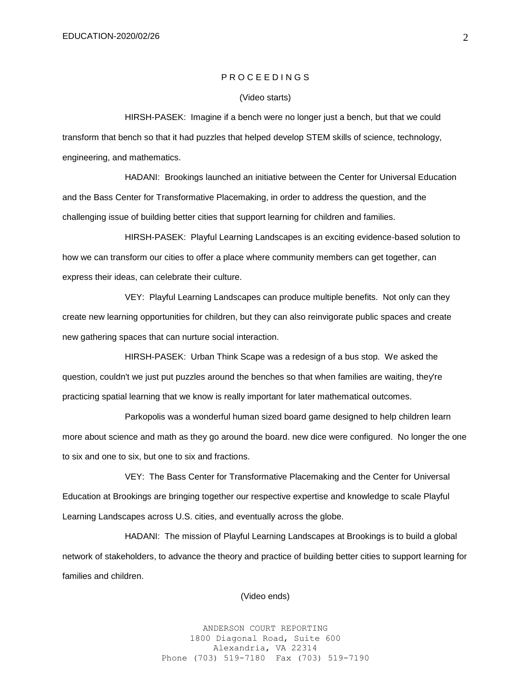## P R O C E E D I N G S

#### (Video starts)

HIRSH-PASEK: Imagine if a bench were no longer just a bench, but that we could transform that bench so that it had puzzles that helped develop STEM skills of science, technology, engineering, and mathematics.

HADANI: Brookings launched an initiative between the Center for Universal Education and the Bass Center for Transformative Placemaking, in order to address the question, and the challenging issue of building better cities that support learning for children and families.

HIRSH-PASEK: Playful Learning Landscapes is an exciting evidence-based solution to how we can transform our cities to offer a place where community members can get together, can express their ideas, can celebrate their culture.

VEY: Playful Learning Landscapes can produce multiple benefits. Not only can they create new learning opportunities for children, but they can also reinvigorate public spaces and create new gathering spaces that can nurture social interaction.

HIRSH-PASEK: Urban Think Scape was a redesign of a bus stop. We asked the question, couldn't we just put puzzles around the benches so that when families are waiting, they're practicing spatial learning that we know is really important for later mathematical outcomes.

Parkopolis was a wonderful human sized board game designed to help children learn more about science and math as they go around the board. new dice were configured. No longer the one to six and one to six, but one to six and fractions.

VEY: The Bass Center for Transformative Placemaking and the Center for Universal Education at Brookings are bringing together our respective expertise and knowledge to scale Playful Learning Landscapes across U.S. cities, and eventually across the globe.

HADANI: The mission of Playful Learning Landscapes at Brookings is to build a global network of stakeholders, to advance the theory and practice of building better cities to support learning for families and children.

(Video ends)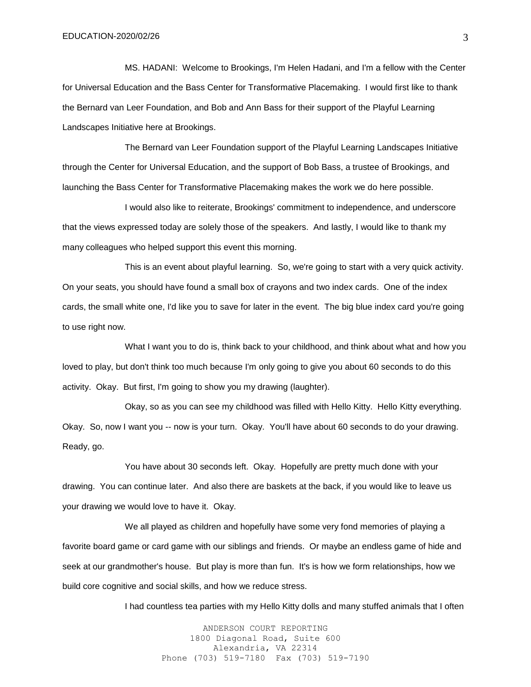MS. HADANI: Welcome to Brookings, I'm Helen Hadani, and I'm a fellow with the Center for Universal Education and the Bass Center for Transformative Placemaking. I would first like to thank the Bernard van Leer Foundation, and Bob and Ann Bass for their support of the Playful Learning Landscapes Initiative here at Brookings.

The Bernard van Leer Foundation support of the Playful Learning Landscapes Initiative through the Center for Universal Education, and the support of Bob Bass, a trustee of Brookings, and launching the Bass Center for Transformative Placemaking makes the work we do here possible.

I would also like to reiterate, Brookings' commitment to independence, and underscore that the views expressed today are solely those of the speakers. And lastly, I would like to thank my many colleagues who helped support this event this morning.

This is an event about playful learning. So, we're going to start with a very quick activity. On your seats, you should have found a small box of crayons and two index cards. One of the index cards, the small white one, I'd like you to save for later in the event. The big blue index card you're going to use right now.

What I want you to do is, think back to your childhood, and think about what and how you loved to play, but don't think too much because I'm only going to give you about 60 seconds to do this activity. Okay. But first, I'm going to show you my drawing (laughter).

Okay, so as you can see my childhood was filled with Hello Kitty. Hello Kitty everything. Okay. So, now I want you -- now is your turn. Okay. You'll have about 60 seconds to do your drawing. Ready, go.

You have about 30 seconds left. Okay. Hopefully are pretty much done with your drawing. You can continue later. And also there are baskets at the back, if you would like to leave us your drawing we would love to have it. Okay.

We all played as children and hopefully have some very fond memories of playing a favorite board game or card game with our siblings and friends. Or maybe an endless game of hide and seek at our grandmother's house. But play is more than fun. It's is how we form relationships, how we build core cognitive and social skills, and how we reduce stress.

I had countless tea parties with my Hello Kitty dolls and many stuffed animals that I often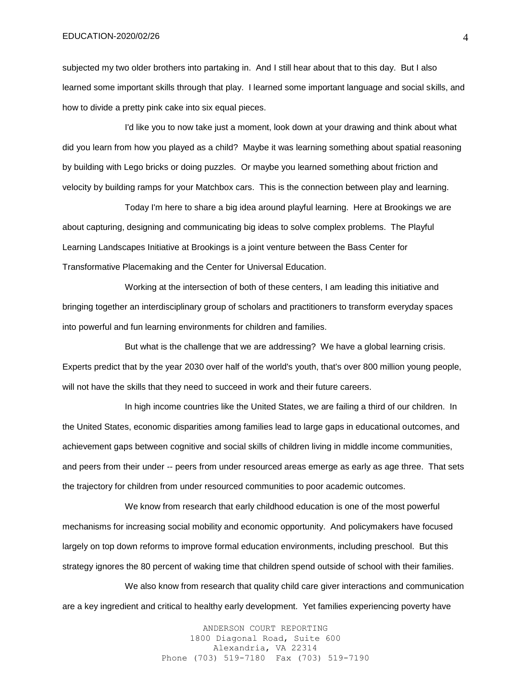subjected my two older brothers into partaking in. And I still hear about that to this day. But I also learned some important skills through that play. I learned some important language and social skills, and how to divide a pretty pink cake into six equal pieces.

I'd like you to now take just a moment, look down at your drawing and think about what did you learn from how you played as a child? Maybe it was learning something about spatial reasoning by building with Lego bricks or doing puzzles. Or maybe you learned something about friction and velocity by building ramps for your Matchbox cars. This is the connection between play and learning.

Today I'm here to share a big idea around playful learning. Here at Brookings we are about capturing, designing and communicating big ideas to solve complex problems. The Playful Learning Landscapes Initiative at Brookings is a joint venture between the Bass Center for Transformative Placemaking and the Center for Universal Education.

Working at the intersection of both of these centers, I am leading this initiative and bringing together an interdisciplinary group of scholars and practitioners to transform everyday spaces into powerful and fun learning environments for children and families.

But what is the challenge that we are addressing? We have a global learning crisis. Experts predict that by the year 2030 over half of the world's youth, that's over 800 million young people, will not have the skills that they need to succeed in work and their future careers.

In high income countries like the United States, we are failing a third of our children. In the United States, economic disparities among families lead to large gaps in educational outcomes, and achievement gaps between cognitive and social skills of children living in middle income communities, and peers from their under -- peers from under resourced areas emerge as early as age three. That sets the trajectory for children from under resourced communities to poor academic outcomes.

We know from research that early childhood education is one of the most powerful mechanisms for increasing social mobility and economic opportunity. And policymakers have focused largely on top down reforms to improve formal education environments, including preschool. But this strategy ignores the 80 percent of waking time that children spend outside of school with their families.

We also know from research that quality child care giver interactions and communication are a key ingredient and critical to healthy early development. Yet families experiencing poverty have

> ANDERSON COURT REPORTING 1800 Diagonal Road, Suite 600 Alexandria, VA 22314 Phone (703) 519-7180 Fax (703) 519-7190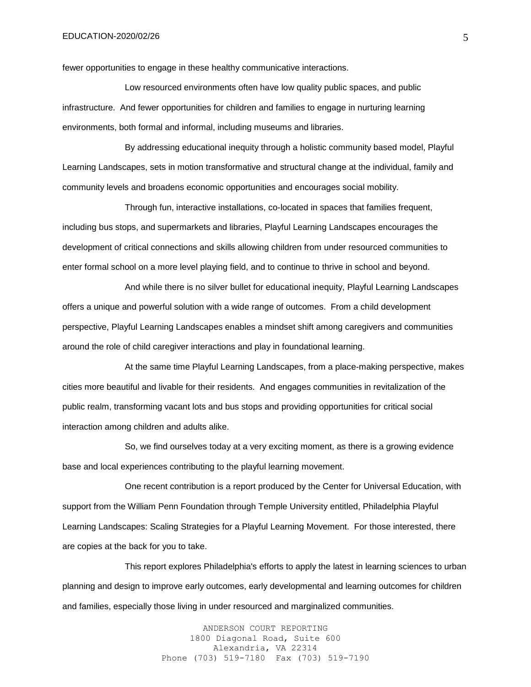fewer opportunities to engage in these healthy communicative interactions.

Low resourced environments often have low quality public spaces, and public infrastructure. And fewer opportunities for children and families to engage in nurturing learning environments, both formal and informal, including museums and libraries.

By addressing educational inequity through a holistic community based model, Playful Learning Landscapes, sets in motion transformative and structural change at the individual, family and community levels and broadens economic opportunities and encourages social mobility.

Through fun, interactive installations, co-located in spaces that families frequent, including bus stops, and supermarkets and libraries, Playful Learning Landscapes encourages the development of critical connections and skills allowing children from under resourced communities to enter formal school on a more level playing field, and to continue to thrive in school and beyond.

And while there is no silver bullet for educational inequity, Playful Learning Landscapes offers a unique and powerful solution with a wide range of outcomes. From a child development perspective, Playful Learning Landscapes enables a mindset shift among caregivers and communities around the role of child caregiver interactions and play in foundational learning.

At the same time Playful Learning Landscapes, from a place-making perspective, makes cities more beautiful and livable for their residents. And engages communities in revitalization of the public realm, transforming vacant lots and bus stops and providing opportunities for critical social interaction among children and adults alike.

So, we find ourselves today at a very exciting moment, as there is a growing evidence base and local experiences contributing to the playful learning movement.

One recent contribution is a report produced by the Center for Universal Education, with support from the William Penn Foundation through Temple University entitled, Philadelphia Playful Learning Landscapes: Scaling Strategies for a Playful Learning Movement. For those interested, there are copies at the back for you to take.

This report explores Philadelphia's efforts to apply the latest in learning sciences to urban planning and design to improve early outcomes, early developmental and learning outcomes for children and families, especially those living in under resourced and marginalized communities.

> ANDERSON COURT REPORTING 1800 Diagonal Road, Suite 600 Alexandria, VA 22314 Phone (703) 519-7180 Fax (703) 519-7190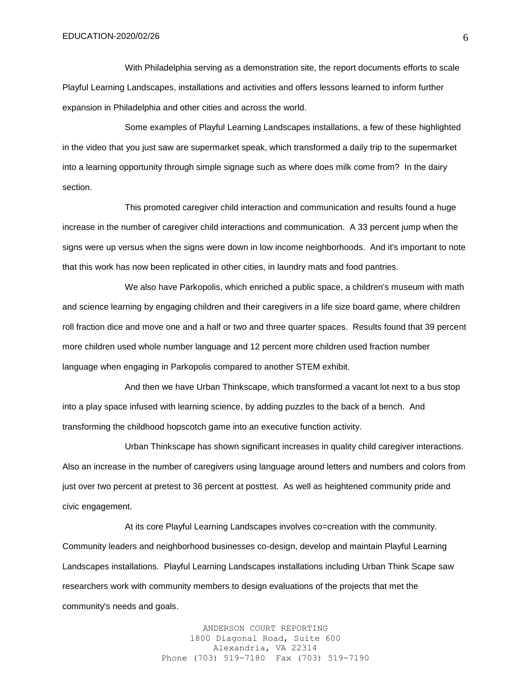With Philadelphia serving as a demonstration site, the report documents efforts to scale Playful Learning Landscapes, installations and activities and offers lessons learned to inform further expansion in Philadelphia and other cities and across the world.

Some examples of Playful Learning Landscapes installations, a few of these highlighted in the video that you just saw are supermarket speak, which transformed a daily trip to the supermarket into a learning opportunity through simple signage such as where does milk come from? In the dairy section.

This promoted caregiver child interaction and communication and results found a huge increase in the number of caregiver child interactions and communication. A 33 percent jump when the signs were up versus when the signs were down in low income neighborhoods. And it's important to note that this work has now been replicated in other cities, in laundry mats and food pantries.

We also have Parkopolis, which enriched a public space, a children's museum with math and science learning by engaging children and their caregivers in a life size board game, where children roll fraction dice and move one and a half or two and three quarter spaces. Results found that 39 percent more children used whole number language and 12 percent more children used fraction number language when engaging in Parkopolis compared to another STEM exhibit.

And then we have Urban Thinkscape, which transformed a vacant lot next to a bus stop into a play space infused with learning science, by adding puzzles to the back of a bench. And transforming the childhood hopscotch game into an executive function activity.

Urban Thinkscape has shown significant increases in quality child caregiver interactions. Also an increase in the number of caregivers using language around letters and numbers and colors from just over two percent at pretest to 36 percent at posttest. As well as heightened community pride and civic engagement.

At its core Playful Learning Landscapes involves co=creation with the community. Community leaders and neighborhood businesses co-design, develop and maintain Playful Learning Landscapes installations. Playful Learning Landscapes installations including Urban Think Scape saw researchers work with community members to design evaluations of the projects that met the community's needs and goals.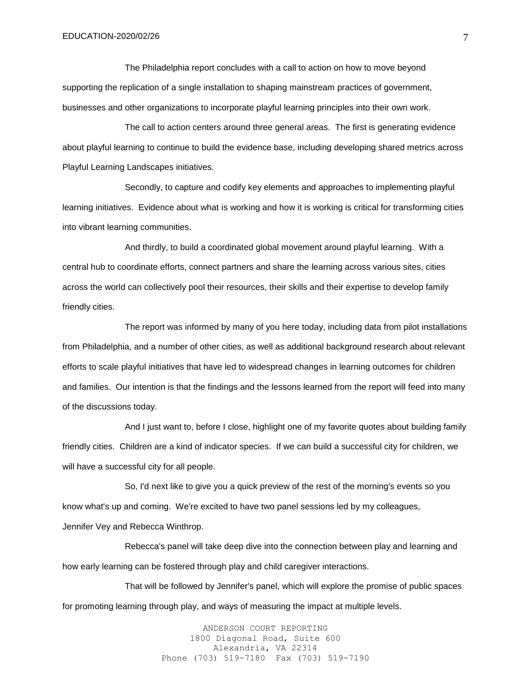The Philadelphia report concludes with a call to action on how to move beyond supporting the replication of a single installation to shaping mainstream practices of government, businesses and other organizations to incorporate playful learning principles into their own work.

The call to action centers around three general areas. The first is generating evidence about playful learning to continue to build the evidence base, including developing shared metrics across Playful Learning Landscapes initiatives.

Secondly, to capture and codify key elements and approaches to implementing playful learning initiatives. Evidence about what is working and how it is working is critical for transforming cities into vibrant learning communities.

And thirdly, to build a coordinated global movement around playful learning. With a central hub to coordinate efforts, connect partners and share the learning across various sites, cities across the world can collectively pool their resources, their skills and their expertise to develop family friendly cities.

The report was informed by many of you here today, including data from pilot installations from Philadelphia, and a number of other cities, as well as additional background research about relevant efforts to scale playful initiatives that have led to widespread changes in learning outcomes for children and families. Our intention is that the findings and the lessons learned from the report will feed into many of the discussions today.

And I just want to, before I close, highlight one of my favorite quotes about building family friendly cities. Children are a kind of indicator species. If we can build a successful city for children, we will have a successful city for all people.

So, I'd next like to give you a quick preview of the rest of the morning's events so you know what's up and coming. We're excited to have two panel sessions led by my colleagues, Jennifer Vey and Rebecca Winthrop.

Rebecca's panel will take deep dive into the connection between play and learning and how early learning can be fostered through play and child caregiver interactions.

That will be followed by Jennifer's panel, which will explore the promise of public spaces for promoting learning through play, and ways of measuring the impact at multiple levels.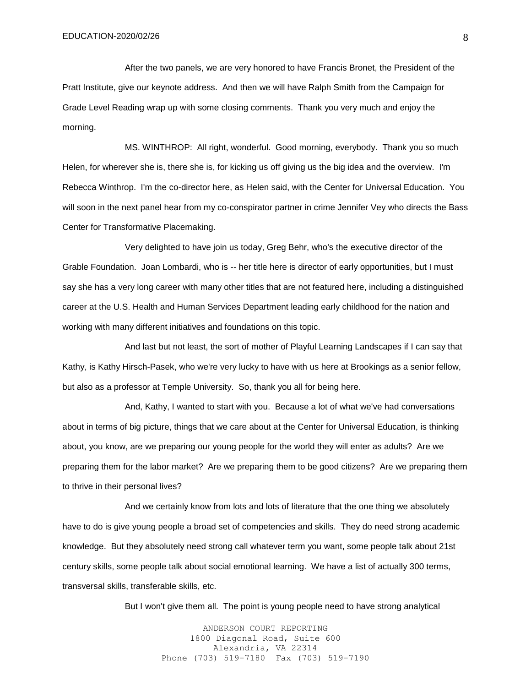After the two panels, we are very honored to have Francis Bronet, the President of the Pratt Institute, give our keynote address. And then we will have Ralph Smith from the Campaign for Grade Level Reading wrap up with some closing comments. Thank you very much and enjoy the morning.

MS. WINTHROP: All right, wonderful. Good morning, everybody. Thank you so much Helen, for wherever she is, there she is, for kicking us off giving us the big idea and the overview. I'm Rebecca Winthrop. I'm the co-director here, as Helen said, with the Center for Universal Education. You will soon in the next panel hear from my co-conspirator partner in crime Jennifer Vey who directs the Bass Center for Transformative Placemaking.

Very delighted to have join us today, Greg Behr, who's the executive director of the Grable Foundation. Joan Lombardi, who is -- her title here is director of early opportunities, but I must say she has a very long career with many other titles that are not featured here, including a distinguished career at the U.S. Health and Human Services Department leading early childhood for the nation and working with many different initiatives and foundations on this topic.

And last but not least, the sort of mother of Playful Learning Landscapes if I can say that Kathy, is Kathy Hirsch-Pasek, who we're very lucky to have with us here at Brookings as a senior fellow, but also as a professor at Temple University. So, thank you all for being here.

And, Kathy, I wanted to start with you. Because a lot of what we've had conversations about in terms of big picture, things that we care about at the Center for Universal Education, is thinking about, you know, are we preparing our young people for the world they will enter as adults? Are we preparing them for the labor market? Are we preparing them to be good citizens? Are we preparing them to thrive in their personal lives?

And we certainly know from lots and lots of literature that the one thing we absolutely have to do is give young people a broad set of competencies and skills. They do need strong academic knowledge. But they absolutely need strong call whatever term you want, some people talk about 21st century skills, some people talk about social emotional learning. We have a list of actually 300 terms, transversal skills, transferable skills, etc.

But I won't give them all. The point is young people need to have strong analytical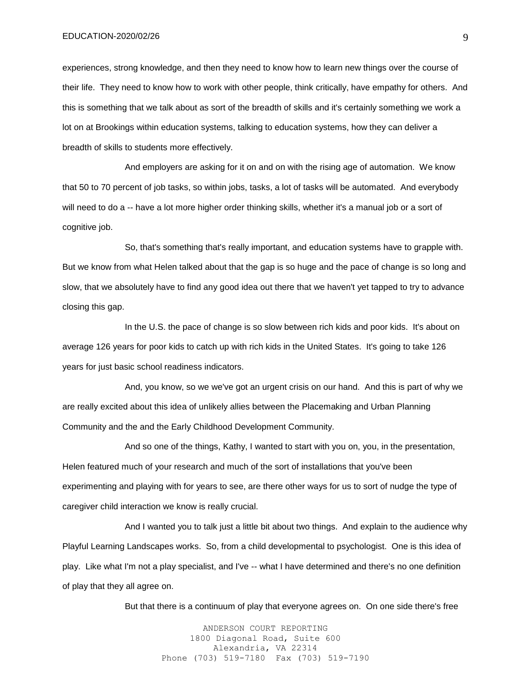experiences, strong knowledge, and then they need to know how to learn new things over the course of their life. They need to know how to work with other people, think critically, have empathy for others. And this is something that we talk about as sort of the breadth of skills and it's certainly something we work a lot on at Brookings within education systems, talking to education systems, how they can deliver a breadth of skills to students more effectively.

And employers are asking for it on and on with the rising age of automation. We know that 50 to 70 percent of job tasks, so within jobs, tasks, a lot of tasks will be automated. And everybody will need to do a -- have a lot more higher order thinking skills, whether it's a manual job or a sort of cognitive job.

So, that's something that's really important, and education systems have to grapple with. But we know from what Helen talked about that the gap is so huge and the pace of change is so long and slow, that we absolutely have to find any good idea out there that we haven't yet tapped to try to advance closing this gap.

In the U.S. the pace of change is so slow between rich kids and poor kids. It's about on average 126 years for poor kids to catch up with rich kids in the United States. It's going to take 126 years for just basic school readiness indicators.

And, you know, so we we've got an urgent crisis on our hand. And this is part of why we are really excited about this idea of unlikely allies between the Placemaking and Urban Planning Community and the and the Early Childhood Development Community.

And so one of the things, Kathy, I wanted to start with you on, you, in the presentation, Helen featured much of your research and much of the sort of installations that you've been experimenting and playing with for years to see, are there other ways for us to sort of nudge the type of caregiver child interaction we know is really crucial.

And I wanted you to talk just a little bit about two things. And explain to the audience why Playful Learning Landscapes works. So, from a child developmental to psychologist. One is this idea of play. Like what I'm not a play specialist, and I've -- what I have determined and there's no one definition of play that they all agree on.

But that there is a continuum of play that everyone agrees on. On one side there's free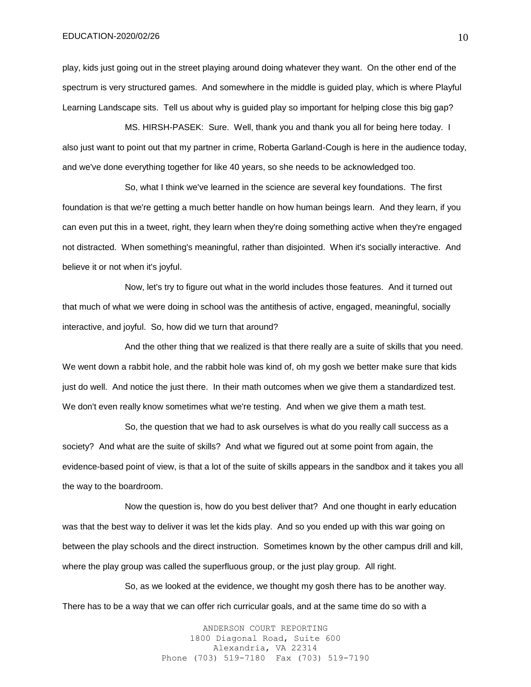play, kids just going out in the street playing around doing whatever they want. On the other end of the spectrum is very structured games. And somewhere in the middle is guided play, which is where Playful Learning Landscape sits. Tell us about why is guided play so important for helping close this big gap?

MS. HIRSH-PASEK: Sure. Well, thank you and thank you all for being here today. I also just want to point out that my partner in crime, Roberta Garland-Cough is here in the audience today, and we've done everything together for like 40 years, so she needs to be acknowledged too.

So, what I think we've learned in the science are several key foundations. The first foundation is that we're getting a much better handle on how human beings learn. And they learn, if you can even put this in a tweet, right, they learn when they're doing something active when they're engaged not distracted. When something's meaningful, rather than disjointed. When it's socially interactive. And believe it or not when it's joyful.

Now, let's try to figure out what in the world includes those features. And it turned out that much of what we were doing in school was the antithesis of active, engaged, meaningful, socially interactive, and joyful. So, how did we turn that around?

And the other thing that we realized is that there really are a suite of skills that you need. We went down a rabbit hole, and the rabbit hole was kind of, oh my gosh we better make sure that kids just do well. And notice the just there. In their math outcomes when we give them a standardized test. We don't even really know sometimes what we're testing. And when we give them a math test.

So, the question that we had to ask ourselves is what do you really call success as a society? And what are the suite of skills? And what we figured out at some point from again, the evidence-based point of view, is that a lot of the suite of skills appears in the sandbox and it takes you all the way to the boardroom.

Now the question is, how do you best deliver that? And one thought in early education was that the best way to deliver it was let the kids play. And so you ended up with this war going on between the play schools and the direct instruction. Sometimes known by the other campus drill and kill, where the play group was called the superfluous group, or the just play group. All right.

So, as we looked at the evidence, we thought my gosh there has to be another way. There has to be a way that we can offer rich curricular goals, and at the same time do so with a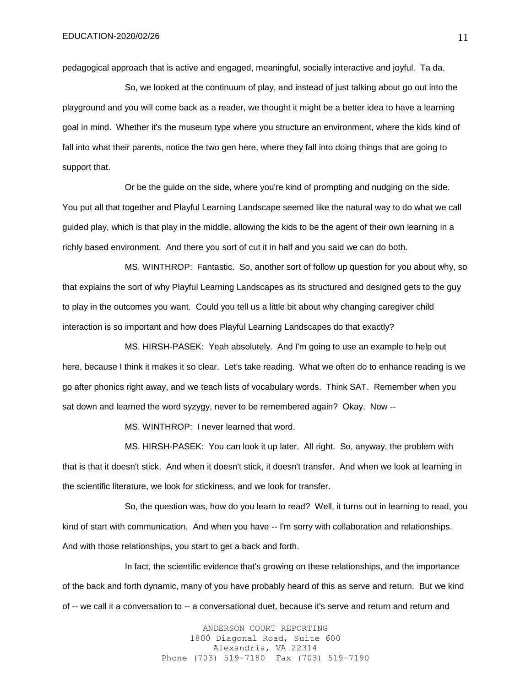pedagogical approach that is active and engaged, meaningful, socially interactive and joyful. Ta da.

So, we looked at the continuum of play, and instead of just talking about go out into the playground and you will come back as a reader, we thought it might be a better idea to have a learning goal in mind. Whether it's the museum type where you structure an environment, where the kids kind of fall into what their parents, notice the two gen here, where they fall into doing things that are going to support that.

Or be the guide on the side, where you're kind of prompting and nudging on the side. You put all that together and Playful Learning Landscape seemed like the natural way to do what we call guided play, which is that play in the middle, allowing the kids to be the agent of their own learning in a richly based environment. And there you sort of cut it in half and you said we can do both.

MS. WINTHROP: Fantastic. So, another sort of follow up question for you about why, so that explains the sort of why Playful Learning Landscapes as its structured and designed gets to the guy to play in the outcomes you want. Could you tell us a little bit about why changing caregiver child interaction is so important and how does Playful Learning Landscapes do that exactly?

MS. HIRSH-PASEK: Yeah absolutely. And I'm going to use an example to help out here, because I think it makes it so clear. Let's take reading. What we often do to enhance reading is we go after phonics right away, and we teach lists of vocabulary words. Think SAT. Remember when you sat down and learned the word syzygy, never to be remembered again? Okay. Now --

MS. WINTHROP: I never learned that word.

MS. HIRSH-PASEK: You can look it up later. All right. So, anyway, the problem with that is that it doesn't stick. And when it doesn't stick, it doesn't transfer. And when we look at learning in the scientific literature, we look for stickiness, and we look for transfer.

So, the question was, how do you learn to read? Well, it turns out in learning to read, you kind of start with communication. And when you have -- I'm sorry with collaboration and relationships. And with those relationships, you start to get a back and forth.

In fact, the scientific evidence that's growing on these relationships, and the importance of the back and forth dynamic, many of you have probably heard of this as serve and return. But we kind of -- we call it a conversation to -- a conversational duet, because it's serve and return and return and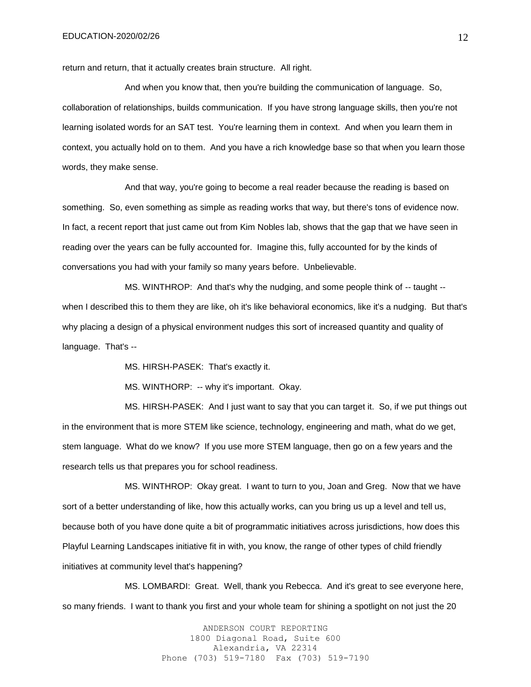return and return, that it actually creates brain structure. All right.

And when you know that, then you're building the communication of language. So, collaboration of relationships, builds communication. If you have strong language skills, then you're not learning isolated words for an SAT test. You're learning them in context. And when you learn them in context, you actually hold on to them. And you have a rich knowledge base so that when you learn those words, they make sense.

And that way, you're going to become a real reader because the reading is based on something. So, even something as simple as reading works that way, but there's tons of evidence now. In fact, a recent report that just came out from Kim Nobles lab, shows that the gap that we have seen in reading over the years can be fully accounted for. Imagine this, fully accounted for by the kinds of conversations you had with your family so many years before. Unbelievable.

MS. WINTHROP: And that's why the nudging, and some people think of -- taught - when I described this to them they are like, oh it's like behavioral economics, like it's a nudging. But that's why placing a design of a physical environment nudges this sort of increased quantity and quality of language. That's --

MS. HIRSH-PASEK: That's exactly it.

MS. WINTHORP: -- why it's important. Okay.

MS. HIRSH-PASEK: And I just want to say that you can target it. So, if we put things out in the environment that is more STEM like science, technology, engineering and math, what do we get, stem language. What do we know? If you use more STEM language, then go on a few years and the research tells us that prepares you for school readiness.

MS. WINTHROP: Okay great. I want to turn to you, Joan and Greg. Now that we have sort of a better understanding of like, how this actually works, can you bring us up a level and tell us, because both of you have done quite a bit of programmatic initiatives across jurisdictions, how does this Playful Learning Landscapes initiative fit in with, you know, the range of other types of child friendly initiatives at community level that's happening?

MS. LOMBARDI: Great. Well, thank you Rebecca. And it's great to see everyone here, so many friends. I want to thank you first and your whole team for shining a spotlight on not just the 20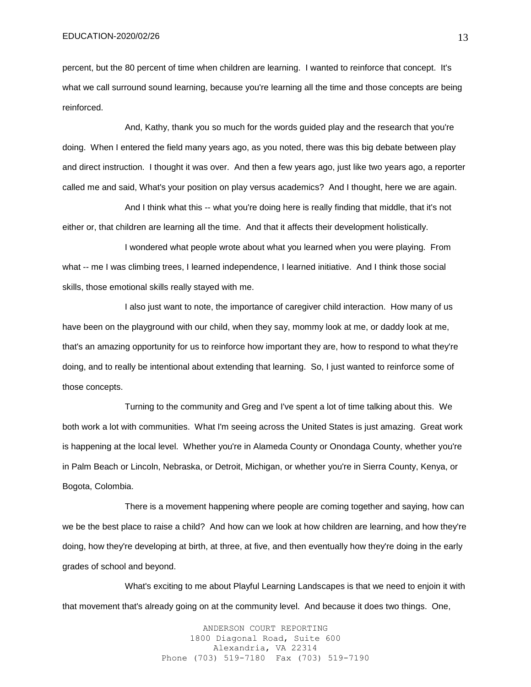percent, but the 80 percent of time when children are learning. I wanted to reinforce that concept. It's what we call surround sound learning, because you're learning all the time and those concepts are being reinforced.

And, Kathy, thank you so much for the words guided play and the research that you're doing. When I entered the field many years ago, as you noted, there was this big debate between play and direct instruction. I thought it was over. And then a few years ago, just like two years ago, a reporter called me and said, What's your position on play versus academics? And I thought, here we are again.

And I think what this -- what you're doing here is really finding that middle, that it's not either or, that children are learning all the time. And that it affects their development holistically.

I wondered what people wrote about what you learned when you were playing. From what -- me I was climbing trees, I learned independence, I learned initiative. And I think those social skills, those emotional skills really stayed with me.

I also just want to note, the importance of caregiver child interaction. How many of us have been on the playground with our child, when they say, mommy look at me, or daddy look at me, that's an amazing opportunity for us to reinforce how important they are, how to respond to what they're doing, and to really be intentional about extending that learning. So, I just wanted to reinforce some of those concepts.

Turning to the community and Greg and I've spent a lot of time talking about this. We both work a lot with communities. What I'm seeing across the United States is just amazing. Great work is happening at the local level. Whether you're in Alameda County or Onondaga County, whether you're in Palm Beach or Lincoln, Nebraska, or Detroit, Michigan, or whether you're in Sierra County, Kenya, or Bogota, Colombia.

There is a movement happening where people are coming together and saying, how can we be the best place to raise a child? And how can we look at how children are learning, and how they're doing, how they're developing at birth, at three, at five, and then eventually how they're doing in the early grades of school and beyond.

What's exciting to me about Playful Learning Landscapes is that we need to enjoin it with that movement that's already going on at the community level. And because it does two things. One,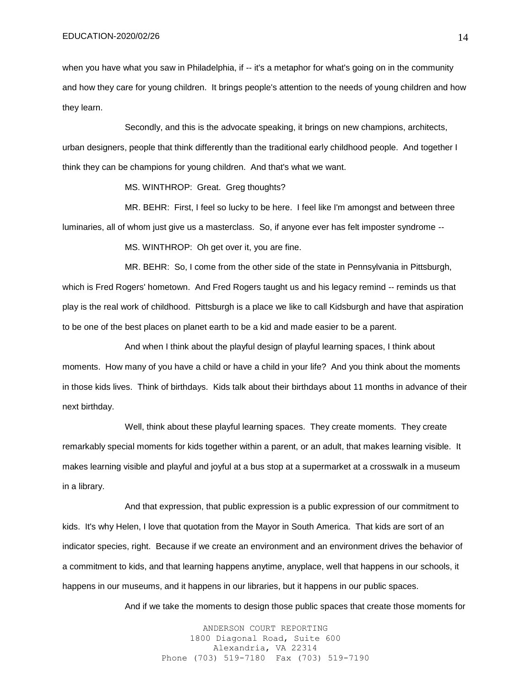when you have what you saw in Philadelphia, if -- it's a metaphor for what's going on in the community and how they care for young children. It brings people's attention to the needs of young children and how they learn.

Secondly, and this is the advocate speaking, it brings on new champions, architects, urban designers, people that think differently than the traditional early childhood people. And together I think they can be champions for young children. And that's what we want.

MS. WINTHROP: Great. Greg thoughts?

MR. BEHR: First, I feel so lucky to be here. I feel like I'm amongst and between three luminaries, all of whom just give us a masterclass. So, if anyone ever has felt imposter syndrome --

MS. WINTHROP: Oh get over it, you are fine.

MR. BEHR: So, I come from the other side of the state in Pennsylvania in Pittsburgh, which is Fred Rogers' hometown. And Fred Rogers taught us and his legacy remind -- reminds us that play is the real work of childhood. Pittsburgh is a place we like to call Kidsburgh and have that aspiration to be one of the best places on planet earth to be a kid and made easier to be a parent.

And when I think about the playful design of playful learning spaces, I think about moments. How many of you have a child or have a child in your life? And you think about the moments in those kids lives. Think of birthdays. Kids talk about their birthdays about 11 months in advance of their next birthday.

Well, think about these playful learning spaces. They create moments. They create remarkably special moments for kids together within a parent, or an adult, that makes learning visible. It makes learning visible and playful and joyful at a bus stop at a supermarket at a crosswalk in a museum in a library.

And that expression, that public expression is a public expression of our commitment to kids. It's why Helen, I love that quotation from the Mayor in South America. That kids are sort of an indicator species, right. Because if we create an environment and an environment drives the behavior of a commitment to kids, and that learning happens anytime, anyplace, well that happens in our schools, it happens in our museums, and it happens in our libraries, but it happens in our public spaces.

And if we take the moments to design those public spaces that create those moments for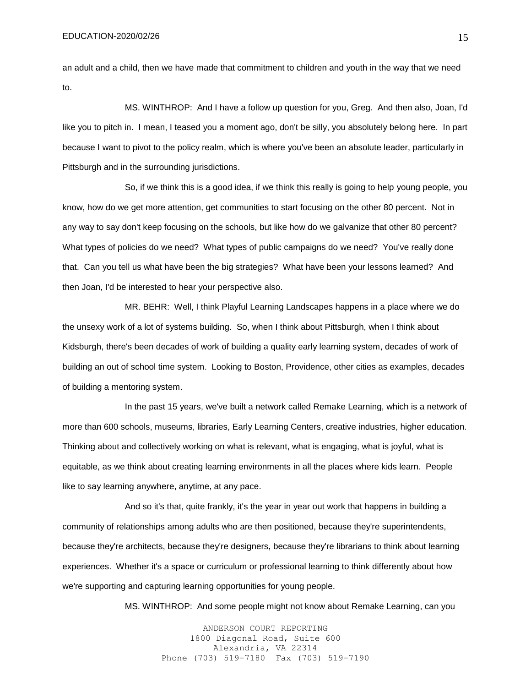an adult and a child, then we have made that commitment to children and youth in the way that we need to.

MS. WINTHROP: And I have a follow up question for you, Greg. And then also, Joan, I'd like you to pitch in. I mean, I teased you a moment ago, don't be silly, you absolutely belong here. In part because I want to pivot to the policy realm, which is where you've been an absolute leader, particularly in Pittsburgh and in the surrounding jurisdictions.

So, if we think this is a good idea, if we think this really is going to help young people, you know, how do we get more attention, get communities to start focusing on the other 80 percent. Not in any way to say don't keep focusing on the schools, but like how do we galvanize that other 80 percent? What types of policies do we need? What types of public campaigns do we need? You've really done that. Can you tell us what have been the big strategies? What have been your lessons learned? And then Joan, I'd be interested to hear your perspective also.

MR. BEHR: Well, I think Playful Learning Landscapes happens in a place where we do the unsexy work of a lot of systems building. So, when I think about Pittsburgh, when I think about Kidsburgh, there's been decades of work of building a quality early learning system, decades of work of building an out of school time system. Looking to Boston, Providence, other cities as examples, decades of building a mentoring system.

In the past 15 years, we've built a network called Remake Learning, which is a network of more than 600 schools, museums, libraries, Early Learning Centers, creative industries, higher education. Thinking about and collectively working on what is relevant, what is engaging, what is joyful, what is equitable, as we think about creating learning environments in all the places where kids learn. People like to say learning anywhere, anytime, at any pace.

And so it's that, quite frankly, it's the year in year out work that happens in building a community of relationships among adults who are then positioned, because they're superintendents, because they're architects, because they're designers, because they're librarians to think about learning experiences. Whether it's a space or curriculum or professional learning to think differently about how we're supporting and capturing learning opportunities for young people.

MS. WINTHROP: And some people might not know about Remake Learning, can you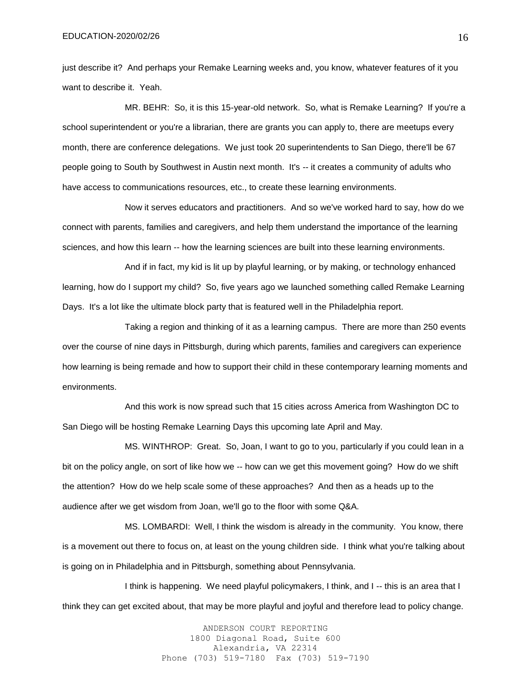just describe it? And perhaps your Remake Learning weeks and, you know, whatever features of it you want to describe it. Yeah.

MR. BEHR: So, it is this 15-year-old network. So, what is Remake Learning? If you're a school superintendent or you're a librarian, there are grants you can apply to, there are meetups every month, there are conference delegations. We just took 20 superintendents to San Diego, there'll be 67 people going to South by Southwest in Austin next month. It's -- it creates a community of adults who have access to communications resources, etc., to create these learning environments.

Now it serves educators and practitioners. And so we've worked hard to say, how do we connect with parents, families and caregivers, and help them understand the importance of the learning sciences, and how this learn -- how the learning sciences are built into these learning environments.

And if in fact, my kid is lit up by playful learning, or by making, or technology enhanced learning, how do I support my child? So, five years ago we launched something called Remake Learning Days. It's a lot like the ultimate block party that is featured well in the Philadelphia report.

Taking a region and thinking of it as a learning campus. There are more than 250 events over the course of nine days in Pittsburgh, during which parents, families and caregivers can experience how learning is being remade and how to support their child in these contemporary learning moments and environments.

And this work is now spread such that 15 cities across America from Washington DC to San Diego will be hosting Remake Learning Days this upcoming late April and May.

MS. WINTHROP: Great. So, Joan, I want to go to you, particularly if you could lean in a bit on the policy angle, on sort of like how we -- how can we get this movement going? How do we shift the attention? How do we help scale some of these approaches? And then as a heads up to the audience after we get wisdom from Joan, we'll go to the floor with some Q&A.

MS. LOMBARDI: Well, I think the wisdom is already in the community. You know, there is a movement out there to focus on, at least on the young children side. I think what you're talking about is going on in Philadelphia and in Pittsburgh, something about Pennsylvania.

I think is happening. We need playful policymakers, I think, and I -- this is an area that I think they can get excited about, that may be more playful and joyful and therefore lead to policy change.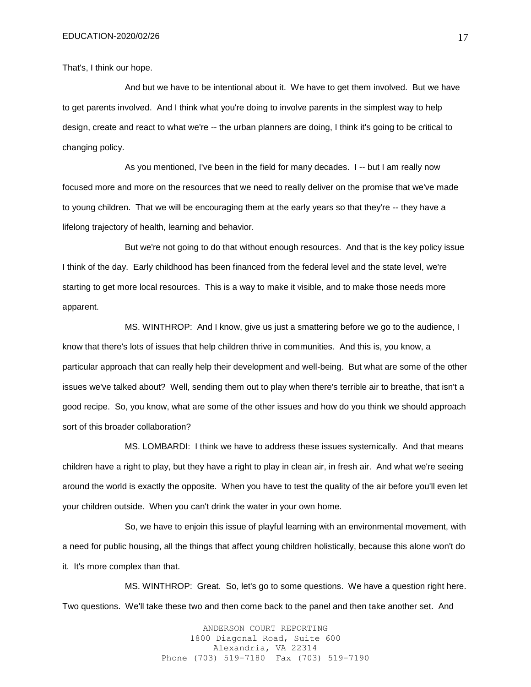That's, I think our hope.

And but we have to be intentional about it. We have to get them involved. But we have to get parents involved. And I think what you're doing to involve parents in the simplest way to help design, create and react to what we're -- the urban planners are doing, I think it's going to be critical to changing policy.

As you mentioned, I've been in the field for many decades. I -- but I am really now focused more and more on the resources that we need to really deliver on the promise that we've made to young children. That we will be encouraging them at the early years so that they're -- they have a lifelong trajectory of health, learning and behavior.

But we're not going to do that without enough resources. And that is the key policy issue I think of the day. Early childhood has been financed from the federal level and the state level, we're starting to get more local resources. This is a way to make it visible, and to make those needs more apparent.

MS. WINTHROP: And I know, give us just a smattering before we go to the audience, I know that there's lots of issues that help children thrive in communities. And this is, you know, a particular approach that can really help their development and well-being. But what are some of the other issues we've talked about? Well, sending them out to play when there's terrible air to breathe, that isn't a good recipe. So, you know, what are some of the other issues and how do you think we should approach sort of this broader collaboration?

MS. LOMBARDI: I think we have to address these issues systemically. And that means children have a right to play, but they have a right to play in clean air, in fresh air. And what we're seeing around the world is exactly the opposite. When you have to test the quality of the air before you'll even let your children outside. When you can't drink the water in your own home.

So, we have to enjoin this issue of playful learning with an environmental movement, with a need for public housing, all the things that affect young children holistically, because this alone won't do it. It's more complex than that.

MS. WINTHROP: Great. So, let's go to some questions. We have a question right here. Two questions. We'll take these two and then come back to the panel and then take another set. And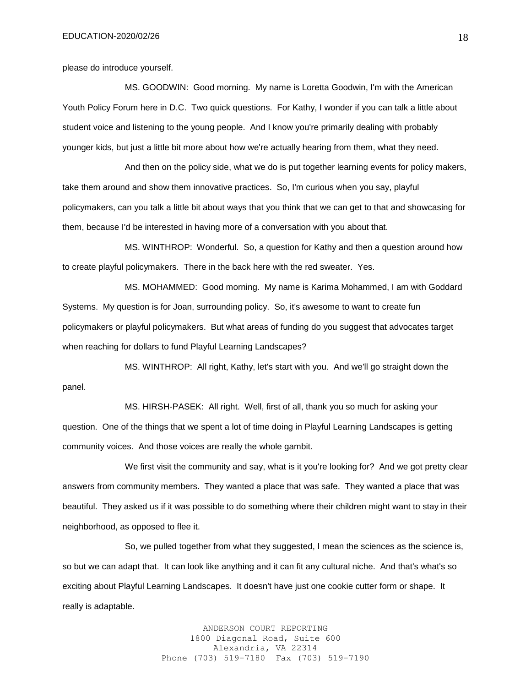please do introduce yourself.

MS. GOODWIN: Good morning. My name is Loretta Goodwin, I'm with the American Youth Policy Forum here in D.C. Two quick questions. For Kathy, I wonder if you can talk a little about student voice and listening to the young people. And I know you're primarily dealing with probably younger kids, but just a little bit more about how we're actually hearing from them, what they need.

And then on the policy side, what we do is put together learning events for policy makers, take them around and show them innovative practices. So, I'm curious when you say, playful policymakers, can you talk a little bit about ways that you think that we can get to that and showcasing for them, because I'd be interested in having more of a conversation with you about that.

MS. WINTHROP: Wonderful. So, a question for Kathy and then a question around how to create playful policymakers. There in the back here with the red sweater. Yes.

MS. MOHAMMED: Good morning. My name is Karima Mohammed, I am with Goddard Systems. My question is for Joan, surrounding policy. So, it's awesome to want to create fun policymakers or playful policymakers. But what areas of funding do you suggest that advocates target when reaching for dollars to fund Playful Learning Landscapes?

MS. WINTHROP: All right, Kathy, let's start with you. And we'll go straight down the panel.

MS. HIRSH-PASEK: All right. Well, first of all, thank you so much for asking your question. One of the things that we spent a lot of time doing in Playful Learning Landscapes is getting community voices. And those voices are really the whole gambit.

We first visit the community and say, what is it you're looking for? And we got pretty clear answers from community members. They wanted a place that was safe. They wanted a place that was beautiful. They asked us if it was possible to do something where their children might want to stay in their neighborhood, as opposed to flee it.

So, we pulled together from what they suggested, I mean the sciences as the science is, so but we can adapt that. It can look like anything and it can fit any cultural niche. And that's what's so exciting about Playful Learning Landscapes. It doesn't have just one cookie cutter form or shape. It really is adaptable.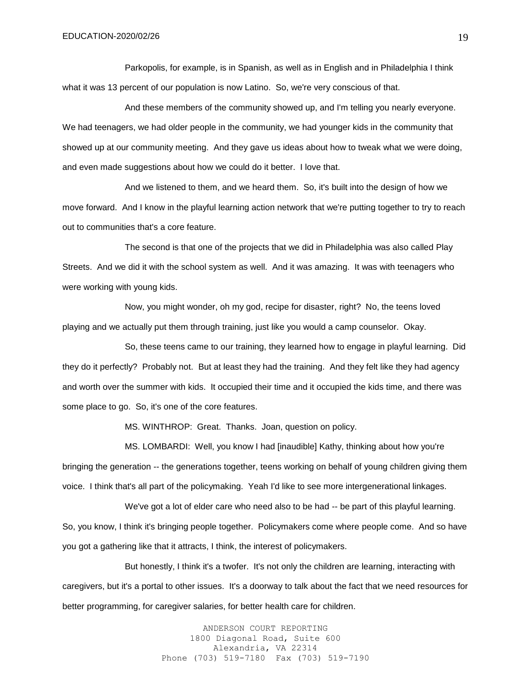Parkopolis, for example, is in Spanish, as well as in English and in Philadelphia I think what it was 13 percent of our population is now Latino. So, we're very conscious of that.

And these members of the community showed up, and I'm telling you nearly everyone. We had teenagers, we had older people in the community, we had younger kids in the community that showed up at our community meeting. And they gave us ideas about how to tweak what we were doing, and even made suggestions about how we could do it better. I love that.

And we listened to them, and we heard them. So, it's built into the design of how we move forward. And I know in the playful learning action network that we're putting together to try to reach out to communities that's a core feature.

The second is that one of the projects that we did in Philadelphia was also called Play Streets. And we did it with the school system as well. And it was amazing. It was with teenagers who were working with young kids.

Now, you might wonder, oh my god, recipe for disaster, right? No, the teens loved playing and we actually put them through training, just like you would a camp counselor. Okay.

So, these teens came to our training, they learned how to engage in playful learning. Did they do it perfectly? Probably not. But at least they had the training. And they felt like they had agency and worth over the summer with kids. It occupied their time and it occupied the kids time, and there was some place to go. So, it's one of the core features.

MS. WINTHROP: Great. Thanks. Joan, question on policy.

MS. LOMBARDI: Well, you know I had [inaudible] Kathy, thinking about how you're bringing the generation -- the generations together, teens working on behalf of young children giving them voice. I think that's all part of the policymaking. Yeah I'd like to see more intergenerational linkages.

We've got a lot of elder care who need also to be had -- be part of this playful learning. So, you know, I think it's bringing people together. Policymakers come where people come. And so have you got a gathering like that it attracts, I think, the interest of policymakers.

But honestly, I think it's a twofer. It's not only the children are learning, interacting with caregivers, but it's a portal to other issues. It's a doorway to talk about the fact that we need resources for better programming, for caregiver salaries, for better health care for children.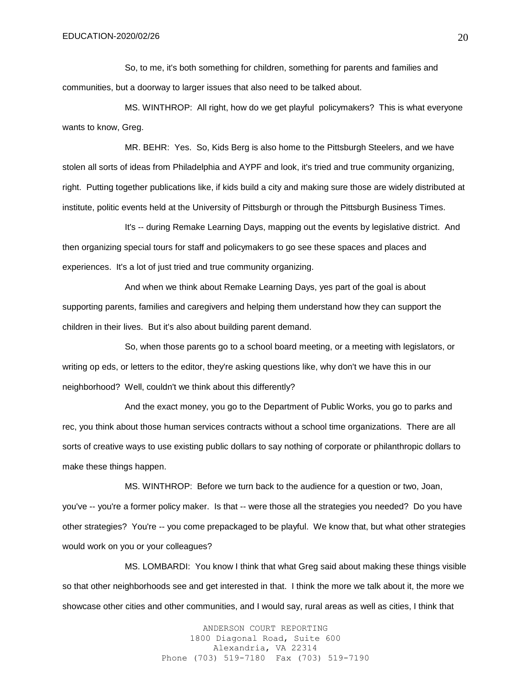So, to me, it's both something for children, something for parents and families and communities, but a doorway to larger issues that also need to be talked about.

MS. WINTHROP: All right, how do we get playful policymakers? This is what everyone wants to know, Greg.

MR. BEHR: Yes. So, Kids Berg is also home to the Pittsburgh Steelers, and we have stolen all sorts of ideas from Philadelphia and AYPF and look, it's tried and true community organizing, right. Putting together publications like, if kids build a city and making sure those are widely distributed at institute, politic events held at the University of Pittsburgh or through the Pittsburgh Business Times.

It's -- during Remake Learning Days, mapping out the events by legislative district. And then organizing special tours for staff and policymakers to go see these spaces and places and experiences. It's a lot of just tried and true community organizing.

And when we think about Remake Learning Days, yes part of the goal is about supporting parents, families and caregivers and helping them understand how they can support the children in their lives. But it's also about building parent demand.

So, when those parents go to a school board meeting, or a meeting with legislators, or writing op eds, or letters to the editor, they're asking questions like, why don't we have this in our neighborhood? Well, couldn't we think about this differently?

And the exact money, you go to the Department of Public Works, you go to parks and rec, you think about those human services contracts without a school time organizations. There are all sorts of creative ways to use existing public dollars to say nothing of corporate or philanthropic dollars to make these things happen.

MS. WINTHROP: Before we turn back to the audience for a question or two, Joan, you've -- you're a former policy maker. Is that -- were those all the strategies you needed? Do you have other strategies? You're -- you come prepackaged to be playful. We know that, but what other strategies would work on you or your colleagues?

MS. LOMBARDI: You know I think that what Greg said about making these things visible so that other neighborhoods see and get interested in that. I think the more we talk about it, the more we showcase other cities and other communities, and I would say, rural areas as well as cities, I think that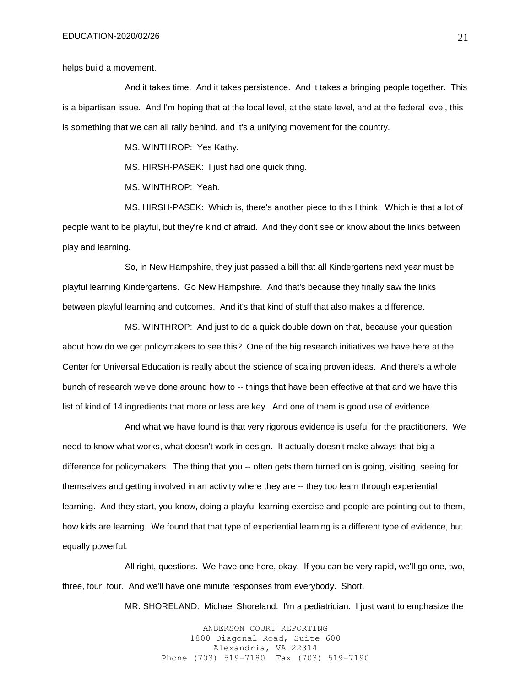helps build a movement.

And it takes time. And it takes persistence. And it takes a bringing people together. This is a bipartisan issue. And I'm hoping that at the local level, at the state level, and at the federal level, this is something that we can all rally behind, and it's a unifying movement for the country.

MS. WINTHROP: Yes Kathy.

MS. HIRSH-PASEK: I just had one quick thing.

MS. WINTHROP: Yeah.

MS. HIRSH-PASEK: Which is, there's another piece to this I think. Which is that a lot of people want to be playful, but they're kind of afraid. And they don't see or know about the links between play and learning.

So, in New Hampshire, they just passed a bill that all Kindergartens next year must be playful learning Kindergartens. Go New Hampshire. And that's because they finally saw the links between playful learning and outcomes. And it's that kind of stuff that also makes a difference.

MS. WINTHROP: And just to do a quick double down on that, because your question about how do we get policymakers to see this? One of the big research initiatives we have here at the Center for Universal Education is really about the science of scaling proven ideas. And there's a whole bunch of research we've done around how to -- things that have been effective at that and we have this list of kind of 14 ingredients that more or less are key. And one of them is good use of evidence.

And what we have found is that very rigorous evidence is useful for the practitioners. We need to know what works, what doesn't work in design. It actually doesn't make always that big a difference for policymakers. The thing that you -- often gets them turned on is going, visiting, seeing for themselves and getting involved in an activity where they are -- they too learn through experiential learning. And they start, you know, doing a playful learning exercise and people are pointing out to them, how kids are learning. We found that that type of experiential learning is a different type of evidence, but equally powerful.

All right, questions. We have one here, okay. If you can be very rapid, we'll go one, two, three, four, four. And we'll have one minute responses from everybody. Short.

MR. SHORELAND: Michael Shoreland. I'm a pediatrician. I just want to emphasize the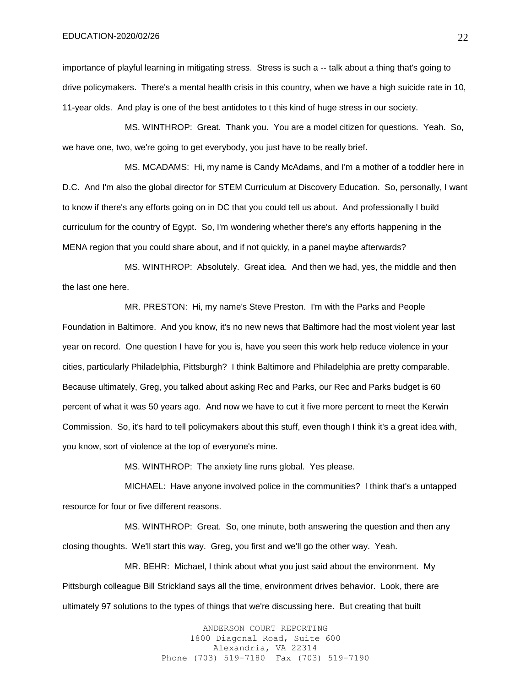importance of playful learning in mitigating stress. Stress is such a -- talk about a thing that's going to drive policymakers. There's a mental health crisis in this country, when we have a high suicide rate in 10, 11-year olds. And play is one of the best antidotes to t this kind of huge stress in our society.

MS. WINTHROP: Great. Thank you. You are a model citizen for questions. Yeah. So, we have one, two, we're going to get everybody, you just have to be really brief.

MS. MCADAMS: Hi, my name is Candy McAdams, and I'm a mother of a toddler here in D.C. And I'm also the global director for STEM Curriculum at Discovery Education. So, personally, I want to know if there's any efforts going on in DC that you could tell us about. And professionally I build curriculum for the country of Egypt. So, I'm wondering whether there's any efforts happening in the MENA region that you could share about, and if not quickly, in a panel maybe afterwards?

MS. WINTHROP: Absolutely. Great idea. And then we had, yes, the middle and then the last one here.

MR. PRESTON: Hi, my name's Steve Preston. I'm with the Parks and People Foundation in Baltimore. And you know, it's no new news that Baltimore had the most violent year last year on record. One question I have for you is, have you seen this work help reduce violence in your cities, particularly Philadelphia, Pittsburgh? I think Baltimore and Philadelphia are pretty comparable. Because ultimately, Greg, you talked about asking Rec and Parks, our Rec and Parks budget is 60 percent of what it was 50 years ago. And now we have to cut it five more percent to meet the Kerwin Commission. So, it's hard to tell policymakers about this stuff, even though I think it's a great idea with, you know, sort of violence at the top of everyone's mine.

MS. WINTHROP: The anxiety line runs global. Yes please.

MICHAEL: Have anyone involved police in the communities? I think that's a untapped resource for four or five different reasons.

MS. WINTHROP: Great. So, one minute, both answering the question and then any closing thoughts. We'll start this way. Greg, you first and we'll go the other way. Yeah.

MR. BEHR: Michael, I think about what you just said about the environment. My Pittsburgh colleague Bill Strickland says all the time, environment drives behavior. Look, there are ultimately 97 solutions to the types of things that we're discussing here. But creating that built

> ANDERSON COURT REPORTING 1800 Diagonal Road, Suite 600 Alexandria, VA 22314 Phone (703) 519-7180 Fax (703) 519-7190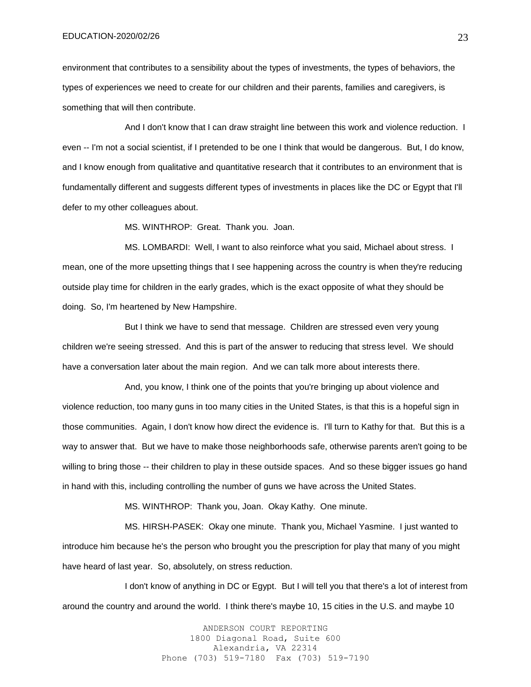environment that contributes to a sensibility about the types of investments, the types of behaviors, the types of experiences we need to create for our children and their parents, families and caregivers, is something that will then contribute.

And I don't know that I can draw straight line between this work and violence reduction. I even -- I'm not a social scientist, if I pretended to be one I think that would be dangerous. But, I do know, and I know enough from qualitative and quantitative research that it contributes to an environment that is fundamentally different and suggests different types of investments in places like the DC or Egypt that I'll defer to my other colleagues about.

MS. WINTHROP: Great. Thank you. Joan.

MS. LOMBARDI: Well, I want to also reinforce what you said, Michael about stress. I mean, one of the more upsetting things that I see happening across the country is when they're reducing outside play time for children in the early grades, which is the exact opposite of what they should be doing. So, I'm heartened by New Hampshire.

But I think we have to send that message. Children are stressed even very young children we're seeing stressed. And this is part of the answer to reducing that stress level. We should have a conversation later about the main region. And we can talk more about interests there.

And, you know, I think one of the points that you're bringing up about violence and violence reduction, too many guns in too many cities in the United States, is that this is a hopeful sign in those communities. Again, I don't know how direct the evidence is. I'll turn to Kathy for that. But this is a way to answer that. But we have to make those neighborhoods safe, otherwise parents aren't going to be willing to bring those -- their children to play in these outside spaces. And so these bigger issues go hand in hand with this, including controlling the number of guns we have across the United States.

MS. WINTHROP: Thank you, Joan. Okay Kathy. One minute.

MS. HIRSH-PASEK: Okay one minute. Thank you, Michael Yasmine. I just wanted to introduce him because he's the person who brought you the prescription for play that many of you might have heard of last year. So, absolutely, on stress reduction.

I don't know of anything in DC or Egypt. But I will tell you that there's a lot of interest from around the country and around the world. I think there's maybe 10, 15 cities in the U.S. and maybe 10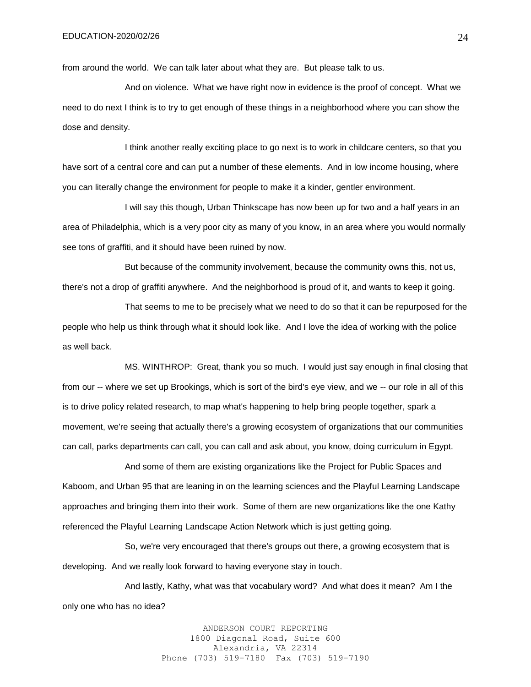from around the world. We can talk later about what they are. But please talk to us.

And on violence. What we have right now in evidence is the proof of concept. What we need to do next I think is to try to get enough of these things in a neighborhood where you can show the dose and density.

I think another really exciting place to go next is to work in childcare centers, so that you have sort of a central core and can put a number of these elements. And in low income housing, where you can literally change the environment for people to make it a kinder, gentler environment.

I will say this though, Urban Thinkscape has now been up for two and a half years in an area of Philadelphia, which is a very poor city as many of you know, in an area where you would normally see tons of graffiti, and it should have been ruined by now.

But because of the community involvement, because the community owns this, not us, there's not a drop of graffiti anywhere. And the neighborhood is proud of it, and wants to keep it going.

That seems to me to be precisely what we need to do so that it can be repurposed for the people who help us think through what it should look like. And I love the idea of working with the police as well back.

MS. WINTHROP: Great, thank you so much. I would just say enough in final closing that from our -- where we set up Brookings, which is sort of the bird's eye view, and we -- our role in all of this is to drive policy related research, to map what's happening to help bring people together, spark a movement, we're seeing that actually there's a growing ecosystem of organizations that our communities can call, parks departments can call, you can call and ask about, you know, doing curriculum in Egypt.

And some of them are existing organizations like the Project for Public Spaces and Kaboom, and Urban 95 that are leaning in on the learning sciences and the Playful Learning Landscape approaches and bringing them into their work. Some of them are new organizations like the one Kathy referenced the Playful Learning Landscape Action Network which is just getting going.

So, we're very encouraged that there's groups out there, a growing ecosystem that is developing. And we really look forward to having everyone stay in touch.

And lastly, Kathy, what was that vocabulary word? And what does it mean? Am I the only one who has no idea?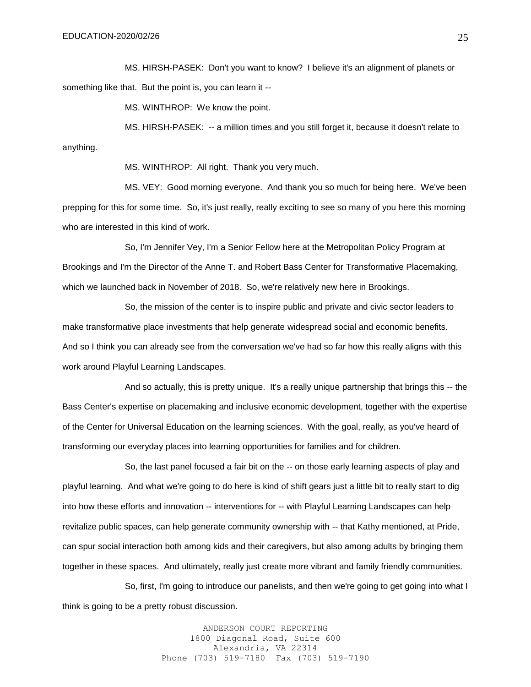MS. HIRSH-PASEK: Don't you want to know? I believe it's an alignment of planets or something like that. But the point is, you can learn it --

MS. WINTHROP: We know the point.

MS. HIRSH-PASEK: -- a million times and you still forget it, because it doesn't relate to anything.

MS. WINTHROP: All right. Thank you very much.

MS. VEY: Good morning everyone. And thank you so much for being here. We've been prepping for this for some time. So, it's just really, really exciting to see so many of you here this morning who are interested in this kind of work.

So, I'm Jennifer Vey, I'm a Senior Fellow here at the Metropolitan Policy Program at Brookings and I'm the Director of the Anne T. and Robert Bass Center for Transformative Placemaking, which we launched back in November of 2018. So, we're relatively new here in Brookings.

So, the mission of the center is to inspire public and private and civic sector leaders to make transformative place investments that help generate widespread social and economic benefits. And so I think you can already see from the conversation we've had so far how this really aligns with this work around Playful Learning Landscapes.

And so actually, this is pretty unique. It's a really unique partnership that brings this -- the Bass Center's expertise on placemaking and inclusive economic development, together with the expertise of the Center for Universal Education on the learning sciences. With the goal, really, as you've heard of transforming our everyday places into learning opportunities for families and for children.

So, the last panel focused a fair bit on the -- on those early learning aspects of play and playful learning. And what we're going to do here is kind of shift gears just a little bit to really start to dig into how these efforts and innovation -- interventions for -- with Playful Learning Landscapes can help revitalize public spaces, can help generate community ownership with -- that Kathy mentioned, at Pride, can spur social interaction both among kids and their caregivers, but also among adults by bringing them together in these spaces. And ultimately, really just create more vibrant and family friendly communities.

So, first, I'm going to introduce our panelists, and then we're going to get going into what I think is going to be a pretty robust discussion.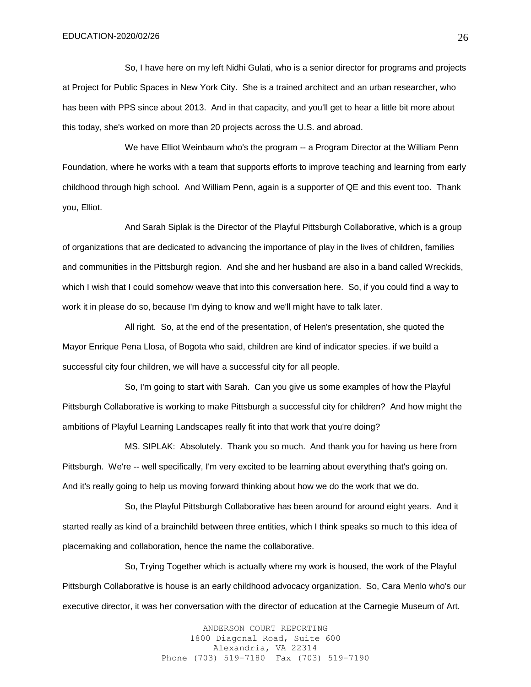So, I have here on my left Nidhi Gulati, who is a senior director for programs and projects at Project for Public Spaces in New York City. She is a trained architect and an urban researcher, who has been with PPS since about 2013. And in that capacity, and you'll get to hear a little bit more about this today, she's worked on more than 20 projects across the U.S. and abroad.

We have Elliot Weinbaum who's the program -- a Program Director at the William Penn Foundation, where he works with a team that supports efforts to improve teaching and learning from early childhood through high school. And William Penn, again is a supporter of QE and this event too. Thank you, Elliot.

And Sarah Siplak is the Director of the Playful Pittsburgh Collaborative, which is a group of organizations that are dedicated to advancing the importance of play in the lives of children, families and communities in the Pittsburgh region. And she and her husband are also in a band called Wreckids, which I wish that I could somehow weave that into this conversation here. So, if you could find a way to work it in please do so, because I'm dying to know and we'll might have to talk later.

All right. So, at the end of the presentation, of Helen's presentation, she quoted the Mayor Enrique Pena Llosa, of Bogota who said, children are kind of indicator species. if we build a successful city four children, we will have a successful city for all people.

So, I'm going to start with Sarah. Can you give us some examples of how the Playful Pittsburgh Collaborative is working to make Pittsburgh a successful city for children? And how might the ambitions of Playful Learning Landscapes really fit into that work that you're doing?

MS. SIPLAK: Absolutely. Thank you so much. And thank you for having us here from Pittsburgh. We're -- well specifically, I'm very excited to be learning about everything that's going on. And it's really going to help us moving forward thinking about how we do the work that we do.

So, the Playful Pittsburgh Collaborative has been around for around eight years. And it started really as kind of a brainchild between three entities, which I think speaks so much to this idea of placemaking and collaboration, hence the name the collaborative.

So, Trying Together which is actually where my work is housed, the work of the Playful Pittsburgh Collaborative is house is an early childhood advocacy organization. So, Cara Menlo who's our executive director, it was her conversation with the director of education at the Carnegie Museum of Art.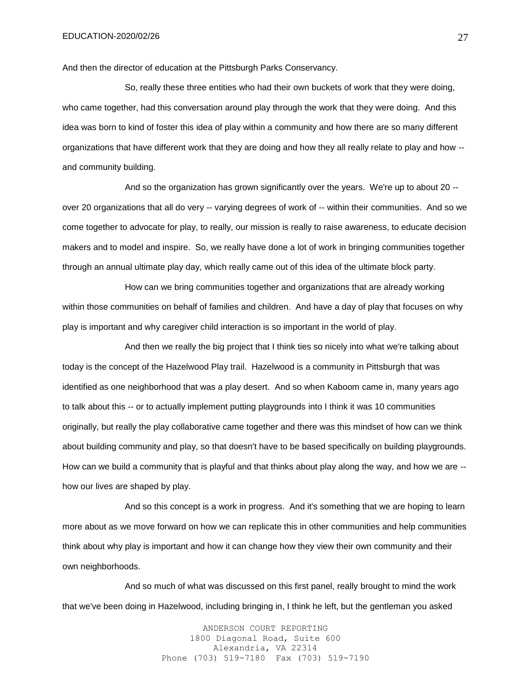And then the director of education at the Pittsburgh Parks Conservancy.

So, really these three entities who had their own buckets of work that they were doing, who came together, had this conversation around play through the work that they were doing. And this idea was born to kind of foster this idea of play within a community and how there are so many different organizations that have different work that they are doing and how they all really relate to play and how - and community building.

And so the organization has grown significantly over the years. We're up to about 20 - over 20 organizations that all do very -- varying degrees of work of -- within their communities. And so we come together to advocate for play, to really, our mission is really to raise awareness, to educate decision makers and to model and inspire. So, we really have done a lot of work in bringing communities together through an annual ultimate play day, which really came out of this idea of the ultimate block party.

How can we bring communities together and organizations that are already working within those communities on behalf of families and children. And have a day of play that focuses on why play is important and why caregiver child interaction is so important in the world of play.

And then we really the big project that I think ties so nicely into what we're talking about today is the concept of the Hazelwood Play trail. Hazelwood is a community in Pittsburgh that was identified as one neighborhood that was a play desert. And so when Kaboom came in, many years ago to talk about this -- or to actually implement putting playgrounds into I think it was 10 communities originally, but really the play collaborative came together and there was this mindset of how can we think about building community and play, so that doesn't have to be based specifically on building playgrounds. How can we build a community that is playful and that thinks about play along the way, and how we are - how our lives are shaped by play.

And so this concept is a work in progress. And it's something that we are hoping to learn more about as we move forward on how we can replicate this in other communities and help communities think about why play is important and how it can change how they view their own community and their own neighborhoods.

And so much of what was discussed on this first panel, really brought to mind the work that we've been doing in Hazelwood, including bringing in, I think he left, but the gentleman you asked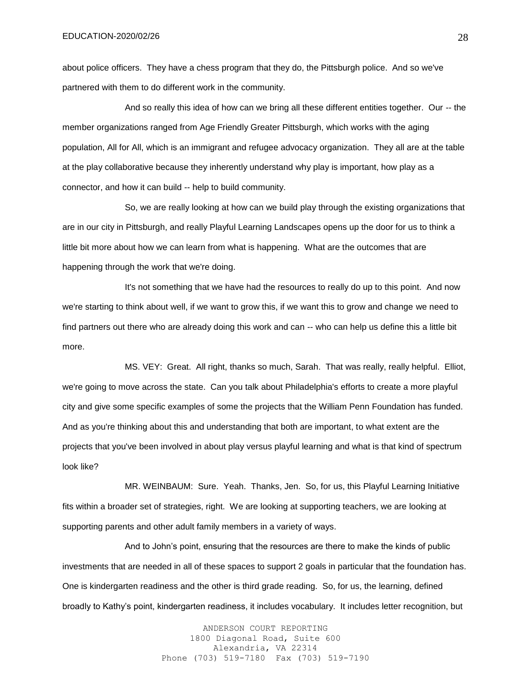about police officers. They have a chess program that they do, the Pittsburgh police. And so we've partnered with them to do different work in the community.

And so really this idea of how can we bring all these different entities together. Our -- the member organizations ranged from Age Friendly Greater Pittsburgh, which works with the aging population, All for All, which is an immigrant and refugee advocacy organization. They all are at the table at the play collaborative because they inherently understand why play is important, how play as a connector, and how it can build -- help to build community.

So, we are really looking at how can we build play through the existing organizations that are in our city in Pittsburgh, and really Playful Learning Landscapes opens up the door for us to think a little bit more about how we can learn from what is happening. What are the outcomes that are happening through the work that we're doing.

It's not something that we have had the resources to really do up to this point. And now we're starting to think about well, if we want to grow this, if we want this to grow and change we need to find partners out there who are already doing this work and can -- who can help us define this a little bit more.

MS. VEY: Great. All right, thanks so much, Sarah. That was really, really helpful. Elliot, we're going to move across the state. Can you talk about Philadelphia's efforts to create a more playful city and give some specific examples of some the projects that the William Penn Foundation has funded. And as you're thinking about this and understanding that both are important, to what extent are the projects that you've been involved in about play versus playful learning and what is that kind of spectrum look like?

MR. WEINBAUM: Sure. Yeah. Thanks, Jen. So, for us, this Playful Learning Initiative fits within a broader set of strategies, right. We are looking at supporting teachers, we are looking at supporting parents and other adult family members in a variety of ways.

And to John's point, ensuring that the resources are there to make the kinds of public investments that are needed in all of these spaces to support 2 goals in particular that the foundation has. One is kindergarten readiness and the other is third grade reading. So, for us, the learning, defined broadly to Kathy's point, kindergarten readiness, it includes vocabulary. It includes letter recognition, but

> ANDERSON COURT REPORTING 1800 Diagonal Road, Suite 600 Alexandria, VA 22314 Phone (703) 519-7180 Fax (703) 519-7190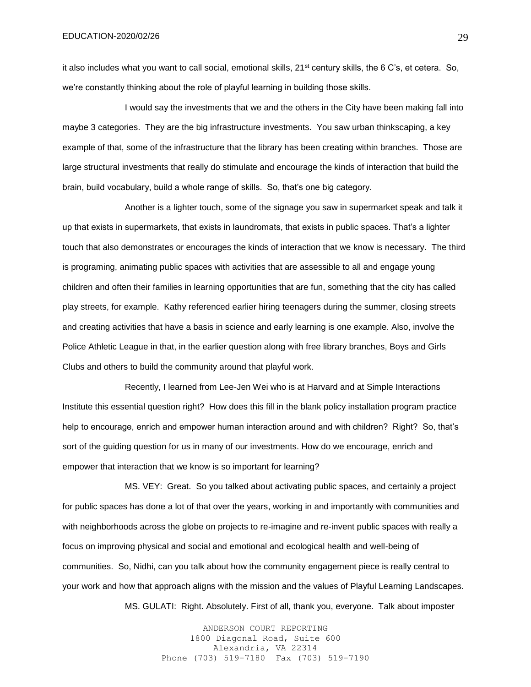it also includes what you want to call social, emotional skills, 21<sup>st</sup> century skills, the 6 C's, et cetera. So, we're constantly thinking about the role of playful learning in building those skills.

I would say the investments that we and the others in the City have been making fall into maybe 3 categories. They are the big infrastructure investments. You saw urban thinkscaping, a key example of that, some of the infrastructure that the library has been creating within branches. Those are large structural investments that really do stimulate and encourage the kinds of interaction that build the brain, build vocabulary, build a whole range of skills. So, that's one big category.

Another is a lighter touch, some of the signage you saw in supermarket speak and talk it up that exists in supermarkets, that exists in laundromats, that exists in public spaces. That's a lighter touch that also demonstrates or encourages the kinds of interaction that we know is necessary. The third is programing, animating public spaces with activities that are assessible to all and engage young children and often their families in learning opportunities that are fun, something that the city has called play streets, for example. Kathy referenced earlier hiring teenagers during the summer, closing streets and creating activities that have a basis in science and early learning is one example. Also, involve the Police Athletic League in that, in the earlier question along with free library branches, Boys and Girls Clubs and others to build the community around that playful work.

Recently, I learned from Lee-Jen Wei who is at Harvard and at Simple Interactions Institute this essential question right? How does this fill in the blank policy installation program practice help to encourage, enrich and empower human interaction around and with children? Right? So, that's sort of the guiding question for us in many of our investments. How do we encourage, enrich and empower that interaction that we know is so important for learning?

MS. VEY: Great. So you talked about activating public spaces, and certainly a project for public spaces has done a lot of that over the years, working in and importantly with communities and with neighborhoods across the globe on projects to re-imagine and re-invent public spaces with really a focus on improving physical and social and emotional and ecological health and well-being of communities. So, Nidhi, can you talk about how the community engagement piece is really central to your work and how that approach aligns with the mission and the values of Playful Learning Landscapes. MS. GULATI: Right. Absolutely. First of all, thank you, everyone. Talk about imposter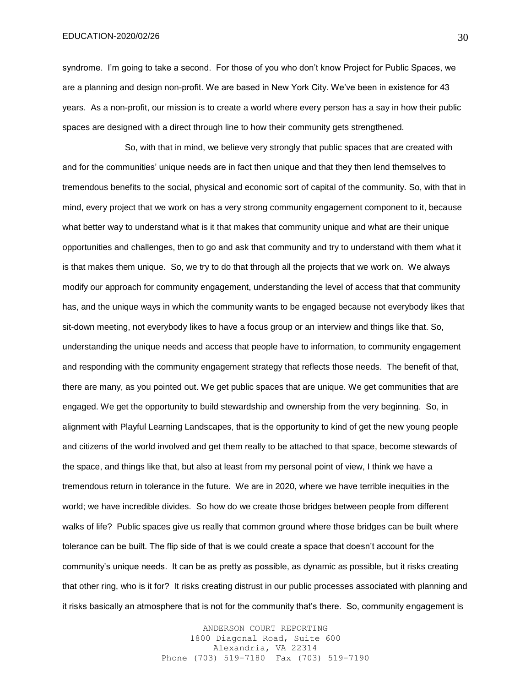syndrome. I'm going to take a second. For those of you who don't know Project for Public Spaces, we are a planning and design non-profit. We are based in New York City. We've been in existence for 43 years. As a non-profit, our mission is to create a world where every person has a say in how their public spaces are designed with a direct through line to how their community gets strengthened.

So, with that in mind, we believe very strongly that public spaces that are created with and for the communities' unique needs are in fact then unique and that they then lend themselves to tremendous benefits to the social, physical and economic sort of capital of the community. So, with that in mind, every project that we work on has a very strong community engagement component to it, because what better way to understand what is it that makes that community unique and what are their unique opportunities and challenges, then to go and ask that community and try to understand with them what it is that makes them unique. So, we try to do that through all the projects that we work on. We always modify our approach for community engagement, understanding the level of access that that community has, and the unique ways in which the community wants to be engaged because not everybody likes that sit-down meeting, not everybody likes to have a focus group or an interview and things like that. So, understanding the unique needs and access that people have to information, to community engagement and responding with the community engagement strategy that reflects those needs. The benefit of that, there are many, as you pointed out. We get public spaces that are unique. We get communities that are engaged. We get the opportunity to build stewardship and ownership from the very beginning. So, in alignment with Playful Learning Landscapes, that is the opportunity to kind of get the new young people and citizens of the world involved and get them really to be attached to that space, become stewards of the space, and things like that, but also at least from my personal point of view, I think we have a tremendous return in tolerance in the future. We are in 2020, where we have terrible inequities in the world; we have incredible divides. So how do we create those bridges between people from different walks of life? Public spaces give us really that common ground where those bridges can be built where tolerance can be built. The flip side of that is we could create a space that doesn't account for the community's unique needs. It can be as pretty as possible, as dynamic as possible, but it risks creating that other ring, who is it for? It risks creating distrust in our public processes associated with planning and it risks basically an atmosphere that is not for the community that's there. So, community engagement is

> ANDERSON COURT REPORTING 1800 Diagonal Road, Suite 600 Alexandria, VA 22314 Phone (703) 519-7180 Fax (703) 519-7190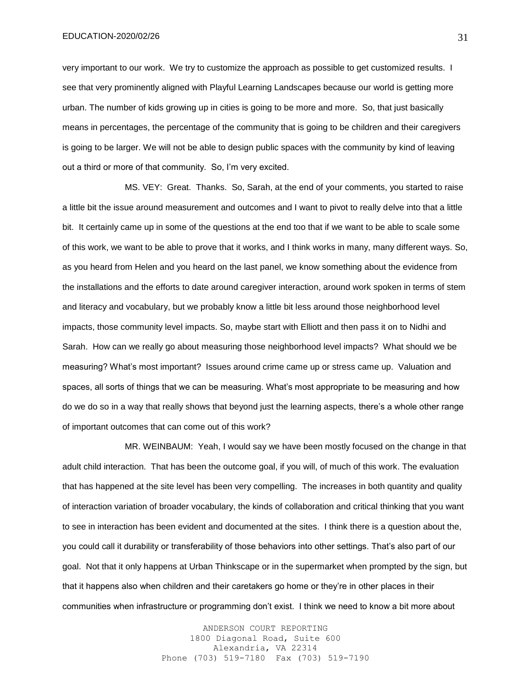very important to our work. We try to customize the approach as possible to get customized results. I see that very prominently aligned with Playful Learning Landscapes because our world is getting more urban. The number of kids growing up in cities is going to be more and more. So, that just basically means in percentages, the percentage of the community that is going to be children and their caregivers is going to be larger. We will not be able to design public spaces with the community by kind of leaving out a third or more of that community. So, I'm very excited.

MS. VEY: Great. Thanks. So, Sarah, at the end of your comments, you started to raise a little bit the issue around measurement and outcomes and I want to pivot to really delve into that a little bit. It certainly came up in some of the questions at the end too that if we want to be able to scale some of this work, we want to be able to prove that it works, and I think works in many, many different ways. So, as you heard from Helen and you heard on the last panel, we know something about the evidence from the installations and the efforts to date around caregiver interaction, around work spoken in terms of stem and literacy and vocabulary, but we probably know a little bit less around those neighborhood level impacts, those community level impacts. So, maybe start with Elliott and then pass it on to Nidhi and Sarah. How can we really go about measuring those neighborhood level impacts? What should we be measuring? What's most important? Issues around crime came up or stress came up. Valuation and spaces, all sorts of things that we can be measuring. What's most appropriate to be measuring and how do we do so in a way that really shows that beyond just the learning aspects, there's a whole other range of important outcomes that can come out of this work?

MR. WEINBAUM: Yeah, I would say we have been mostly focused on the change in that adult child interaction. That has been the outcome goal, if you will, of much of this work. The evaluation that has happened at the site level has been very compelling. The increases in both quantity and quality of interaction variation of broader vocabulary, the kinds of collaboration and critical thinking that you want to see in interaction has been evident and documented at the sites. I think there is a question about the, you could call it durability or transferability of those behaviors into other settings. That's also part of our goal. Not that it only happens at Urban Thinkscape or in the supermarket when prompted by the sign, but that it happens also when children and their caretakers go home or they're in other places in their communities when infrastructure or programming don't exist. I think we need to know a bit more about

> ANDERSON COURT REPORTING 1800 Diagonal Road, Suite 600 Alexandria, VA 22314 Phone (703) 519-7180 Fax (703) 519-7190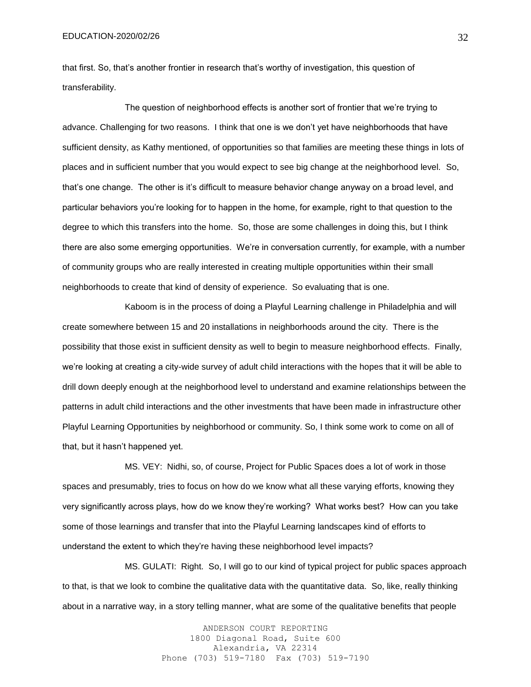that first. So, that's another frontier in research that's worthy of investigation, this question of transferability.

The question of neighborhood effects is another sort of frontier that we're trying to advance. Challenging for two reasons. I think that one is we don't yet have neighborhoods that have sufficient density, as Kathy mentioned, of opportunities so that families are meeting these things in lots of places and in sufficient number that you would expect to see big change at the neighborhood level. So, that's one change. The other is it's difficult to measure behavior change anyway on a broad level, and particular behaviors you're looking for to happen in the home, for example, right to that question to the degree to which this transfers into the home. So, those are some challenges in doing this, but I think there are also some emerging opportunities. We're in conversation currently, for example, with a number of community groups who are really interested in creating multiple opportunities within their small neighborhoods to create that kind of density of experience. So evaluating that is one.

Kaboom is in the process of doing a Playful Learning challenge in Philadelphia and will create somewhere between 15 and 20 installations in neighborhoods around the city. There is the possibility that those exist in sufficient density as well to begin to measure neighborhood effects. Finally, we're looking at creating a city-wide survey of adult child interactions with the hopes that it will be able to drill down deeply enough at the neighborhood level to understand and examine relationships between the patterns in adult child interactions and the other investments that have been made in infrastructure other Playful Learning Opportunities by neighborhood or community. So, I think some work to come on all of that, but it hasn't happened yet.

MS. VEY: Nidhi, so, of course, Project for Public Spaces does a lot of work in those spaces and presumably, tries to focus on how do we know what all these varying efforts, knowing they very significantly across plays, how do we know they're working? What works best? How can you take some of those learnings and transfer that into the Playful Learning landscapes kind of efforts to understand the extent to which they're having these neighborhood level impacts?

MS. GULATI: Right. So, I will go to our kind of typical project for public spaces approach to that, is that we look to combine the qualitative data with the quantitative data. So, like, really thinking about in a narrative way, in a story telling manner, what are some of the qualitative benefits that people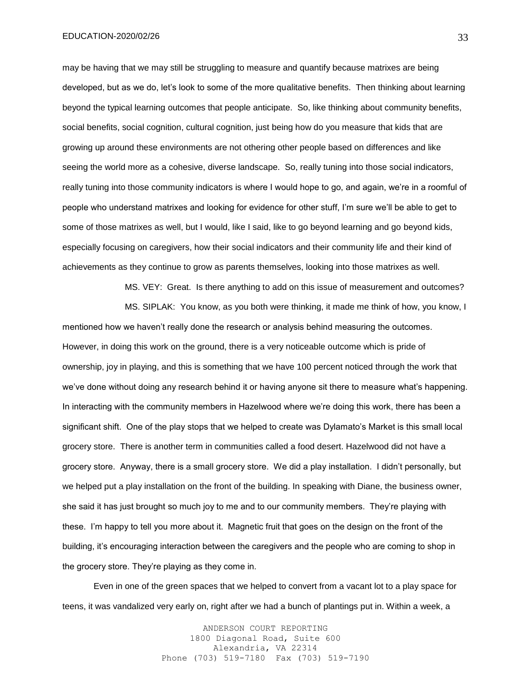may be having that we may still be struggling to measure and quantify because matrixes are being developed, but as we do, let's look to some of the more qualitative benefits. Then thinking about learning beyond the typical learning outcomes that people anticipate. So, like thinking about community benefits, social benefits, social cognition, cultural cognition, just being how do you measure that kids that are growing up around these environments are not othering other people based on differences and like seeing the world more as a cohesive, diverse landscape. So, really tuning into those social indicators, really tuning into those community indicators is where I would hope to go, and again, we're in a roomful of people who understand matrixes and looking for evidence for other stuff, I'm sure we'll be able to get to some of those matrixes as well, but I would, like I said, like to go beyond learning and go beyond kids, especially focusing on caregivers, how their social indicators and their community life and their kind of achievements as they continue to grow as parents themselves, looking into those matrixes as well.

MS. VEY: Great. Is there anything to add on this issue of measurement and outcomes?

MS. SIPLAK: You know, as you both were thinking, it made me think of how, you know, I mentioned how we haven't really done the research or analysis behind measuring the outcomes. However, in doing this work on the ground, there is a very noticeable outcome which is pride of ownership, joy in playing, and this is something that we have 100 percent noticed through the work that we've done without doing any research behind it or having anyone sit there to measure what's happening. In interacting with the community members in Hazelwood where we're doing this work, there has been a significant shift. One of the play stops that we helped to create was Dylamato's Market is this small local grocery store. There is another term in communities called a food desert. Hazelwood did not have a grocery store. Anyway, there is a small grocery store. We did a play installation. I didn't personally, but we helped put a play installation on the front of the building. In speaking with Diane, the business owner, she said it has just brought so much joy to me and to our community members. They're playing with these. I'm happy to tell you more about it. Magnetic fruit that goes on the design on the front of the building, it's encouraging interaction between the caregivers and the people who are coming to shop in the grocery store. They're playing as they come in.

Even in one of the green spaces that we helped to convert from a vacant lot to a play space for teens, it was vandalized very early on, right after we had a bunch of plantings put in. Within a week, a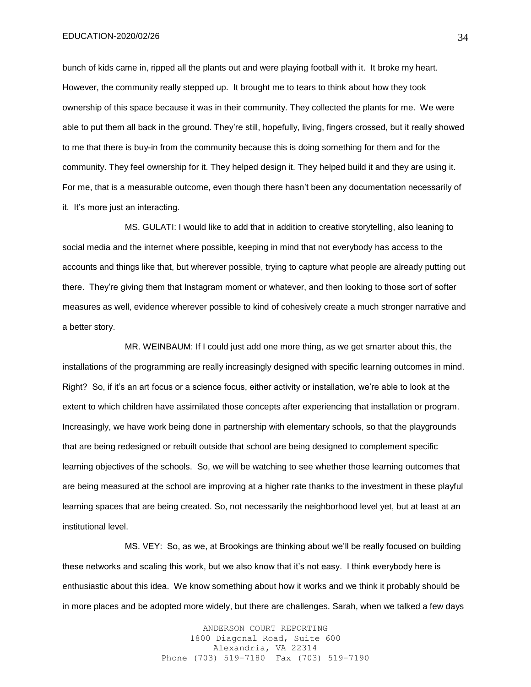bunch of kids came in, ripped all the plants out and were playing football with it. It broke my heart. However, the community really stepped up. It brought me to tears to think about how they took ownership of this space because it was in their community. They collected the plants for me. We were able to put them all back in the ground. They're still, hopefully, living, fingers crossed, but it really showed to me that there is buy-in from the community because this is doing something for them and for the community. They feel ownership for it. They helped design it. They helped build it and they are using it. For me, that is a measurable outcome, even though there hasn't been any documentation necessarily of it. It's more just an interacting.

MS. GULATI: I would like to add that in addition to creative storytelling, also leaning to social media and the internet where possible, keeping in mind that not everybody has access to the accounts and things like that, but wherever possible, trying to capture what people are already putting out there. They're giving them that Instagram moment or whatever, and then looking to those sort of softer measures as well, evidence wherever possible to kind of cohesively create a much stronger narrative and a better story.

MR. WEINBAUM: If I could just add one more thing, as we get smarter about this, the installations of the programming are really increasingly designed with specific learning outcomes in mind. Right? So, if it's an art focus or a science focus, either activity or installation, we're able to look at the extent to which children have assimilated those concepts after experiencing that installation or program. Increasingly, we have work being done in partnership with elementary schools, so that the playgrounds that are being redesigned or rebuilt outside that school are being designed to complement specific learning objectives of the schools. So, we will be watching to see whether those learning outcomes that are being measured at the school are improving at a higher rate thanks to the investment in these playful learning spaces that are being created. So, not necessarily the neighborhood level yet, but at least at an institutional level.

MS. VEY: So, as we, at Brookings are thinking about we'll be really focused on building these networks and scaling this work, but we also know that it's not easy. I think everybody here is enthusiastic about this idea. We know something about how it works and we think it probably should be in more places and be adopted more widely, but there are challenges. Sarah, when we talked a few days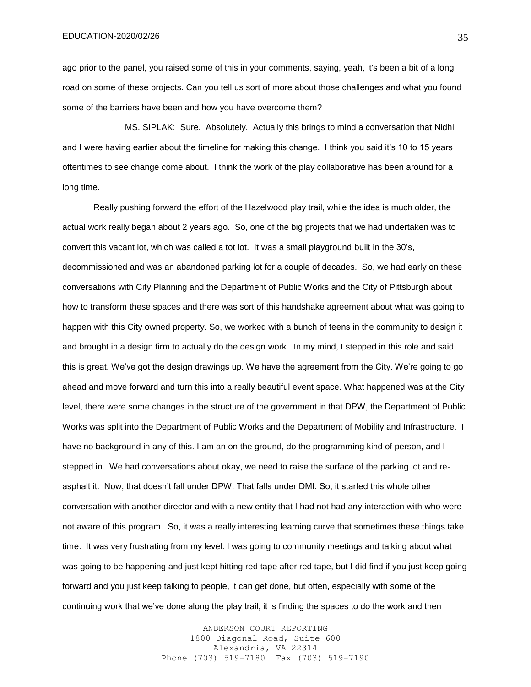ago prior to the panel, you raised some of this in your comments, saying, yeah, it's been a bit of a long road on some of these projects. Can you tell us sort of more about those challenges and what you found some of the barriers have been and how you have overcome them?

MS. SIPLAK: Sure. Absolutely. Actually this brings to mind a conversation that Nidhi and I were having earlier about the timeline for making this change. I think you said it's 10 to 15 years oftentimes to see change come about. I think the work of the play collaborative has been around for a long time.

Really pushing forward the effort of the Hazelwood play trail, while the idea is much older, the actual work really began about 2 years ago. So, one of the big projects that we had undertaken was to convert this vacant lot, which was called a tot lot. It was a small playground built in the 30's, decommissioned and was an abandoned parking lot for a couple of decades. So, we had early on these conversations with City Planning and the Department of Public Works and the City of Pittsburgh about how to transform these spaces and there was sort of this handshake agreement about what was going to happen with this City owned property. So, we worked with a bunch of teens in the community to design it and brought in a design firm to actually do the design work. In my mind, I stepped in this role and said, this is great. We've got the design drawings up. We have the agreement from the City. We're going to go ahead and move forward and turn this into a really beautiful event space. What happened was at the City level, there were some changes in the structure of the government in that DPW, the Department of Public Works was split into the Department of Public Works and the Department of Mobility and Infrastructure. I have no background in any of this. I am an on the ground, do the programming kind of person, and I stepped in. We had conversations about okay, we need to raise the surface of the parking lot and reasphalt it. Now, that doesn't fall under DPW. That falls under DMI. So, it started this whole other conversation with another director and with a new entity that I had not had any interaction with who were not aware of this program. So, it was a really interesting learning curve that sometimes these things take time. It was very frustrating from my level. I was going to community meetings and talking about what was going to be happening and just kept hitting red tape after red tape, but I did find if you just keep going forward and you just keep talking to people, it can get done, but often, especially with some of the continuing work that we've done along the play trail, it is finding the spaces to do the work and then

> ANDERSON COURT REPORTING 1800 Diagonal Road, Suite 600 Alexandria, VA 22314 Phone (703) 519-7180 Fax (703) 519-7190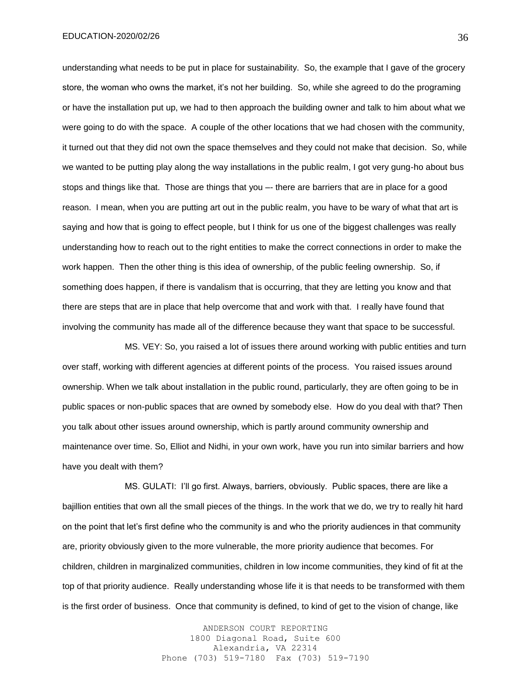understanding what needs to be put in place for sustainability. So, the example that I gave of the grocery store, the woman who owns the market, it's not her building. So, while she agreed to do the programing or have the installation put up, we had to then approach the building owner and talk to him about what we were going to do with the space. A couple of the other locations that we had chosen with the community, it turned out that they did not own the space themselves and they could not make that decision. So, while we wanted to be putting play along the way installations in the public realm, I got very gung-ho about bus stops and things like that. Those are things that you –- there are barriers that are in place for a good reason. I mean, when you are putting art out in the public realm, you have to be wary of what that art is saying and how that is going to effect people, but I think for us one of the biggest challenges was really understanding how to reach out to the right entities to make the correct connections in order to make the work happen. Then the other thing is this idea of ownership, of the public feeling ownership. So, if something does happen, if there is vandalism that is occurring, that they are letting you know and that there are steps that are in place that help overcome that and work with that. I really have found that involving the community has made all of the difference because they want that space to be successful.

MS. VEY: So, you raised a lot of issues there around working with public entities and turn over staff, working with different agencies at different points of the process. You raised issues around ownership. When we talk about installation in the public round, particularly, they are often going to be in public spaces or non-public spaces that are owned by somebody else. How do you deal with that? Then you talk about other issues around ownership, which is partly around community ownership and maintenance over time. So, Elliot and Nidhi, in your own work, have you run into similar barriers and how have you dealt with them?

MS. GULATI: I'll go first. Always, barriers, obviously. Public spaces, there are like a bajillion entities that own all the small pieces of the things. In the work that we do, we try to really hit hard on the point that let's first define who the community is and who the priority audiences in that community are, priority obviously given to the more vulnerable, the more priority audience that becomes. For children, children in marginalized communities, children in low income communities, they kind of fit at the top of that priority audience. Really understanding whose life it is that needs to be transformed with them is the first order of business. Once that community is defined, to kind of get to the vision of change, like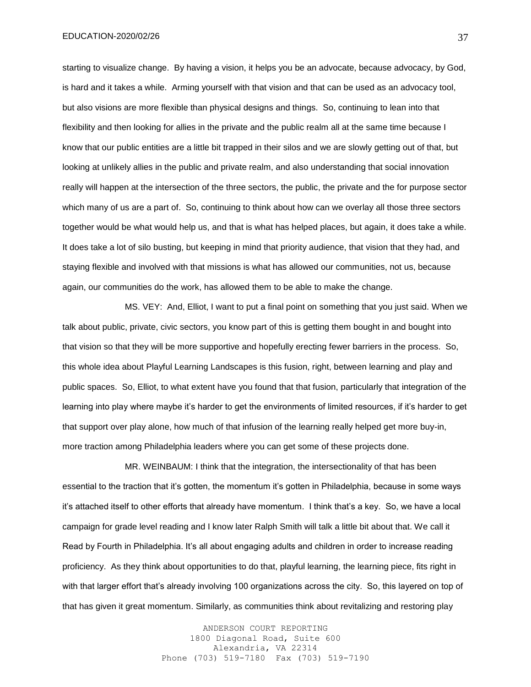starting to visualize change. By having a vision, it helps you be an advocate, because advocacy, by God, is hard and it takes a while. Arming yourself with that vision and that can be used as an advocacy tool, but also visions are more flexible than physical designs and things. So, continuing to lean into that flexibility and then looking for allies in the private and the public realm all at the same time because I know that our public entities are a little bit trapped in their silos and we are slowly getting out of that, but looking at unlikely allies in the public and private realm, and also understanding that social innovation really will happen at the intersection of the three sectors, the public, the private and the for purpose sector which many of us are a part of. So, continuing to think about how can we overlay all those three sectors together would be what would help us, and that is what has helped places, but again, it does take a while. It does take a lot of silo busting, but keeping in mind that priority audience, that vision that they had, and staying flexible and involved with that missions is what has allowed our communities, not us, because again, our communities do the work, has allowed them to be able to make the change.

MS. VEY: And, Elliot, I want to put a final point on something that you just said. When we talk about public, private, civic sectors, you know part of this is getting them bought in and bought into that vision so that they will be more supportive and hopefully erecting fewer barriers in the process. So, this whole idea about Playful Learning Landscapes is this fusion, right, between learning and play and public spaces. So, Elliot, to what extent have you found that that fusion, particularly that integration of the learning into play where maybe it's harder to get the environments of limited resources, if it's harder to get that support over play alone, how much of that infusion of the learning really helped get more buy-in, more traction among Philadelphia leaders where you can get some of these projects done.

MR. WEINBAUM: I think that the integration, the intersectionality of that has been essential to the traction that it's gotten, the momentum it's gotten in Philadelphia, because in some ways it's attached itself to other efforts that already have momentum. I think that's a key. So, we have a local campaign for grade level reading and I know later Ralph Smith will talk a little bit about that. We call it Read by Fourth in Philadelphia. It's all about engaging adults and children in order to increase reading proficiency. As they think about opportunities to do that, playful learning, the learning piece, fits right in with that larger effort that's already involving 100 organizations across the city. So, this layered on top of that has given it great momentum. Similarly, as communities think about revitalizing and restoring play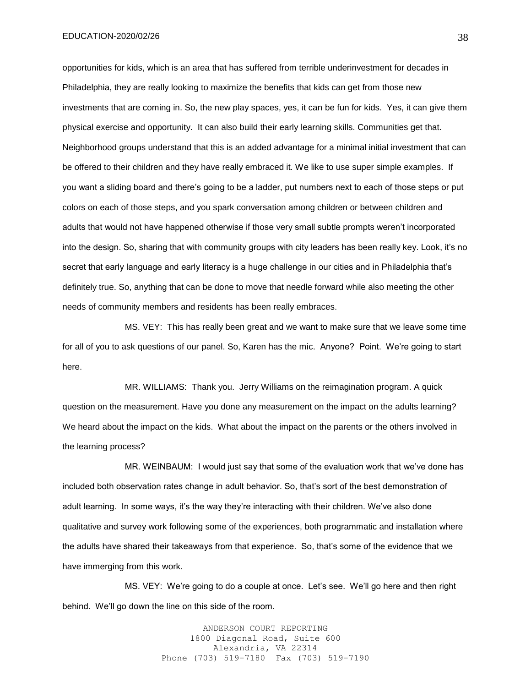opportunities for kids, which is an area that has suffered from terrible underinvestment for decades in Philadelphia, they are really looking to maximize the benefits that kids can get from those new investments that are coming in. So, the new play spaces, yes, it can be fun for kids. Yes, it can give them physical exercise and opportunity. It can also build their early learning skills. Communities get that. Neighborhood groups understand that this is an added advantage for a minimal initial investment that can be offered to their children and they have really embraced it. We like to use super simple examples. If you want a sliding board and there's going to be a ladder, put numbers next to each of those steps or put colors on each of those steps, and you spark conversation among children or between children and adults that would not have happened otherwise if those very small subtle prompts weren't incorporated into the design. So, sharing that with community groups with city leaders has been really key. Look, it's no secret that early language and early literacy is a huge challenge in our cities and in Philadelphia that's definitely true. So, anything that can be done to move that needle forward while also meeting the other needs of community members and residents has been really embraces.

MS. VEY: This has really been great and we want to make sure that we leave some time for all of you to ask questions of our panel. So, Karen has the mic. Anyone? Point. We're going to start here.

MR. WILLIAMS: Thank you. Jerry Williams on the reimagination program. A quick question on the measurement. Have you done any measurement on the impact on the adults learning? We heard about the impact on the kids. What about the impact on the parents or the others involved in the learning process?

MR. WEINBAUM: I would just say that some of the evaluation work that we've done has included both observation rates change in adult behavior. So, that's sort of the best demonstration of adult learning. In some ways, it's the way they're interacting with their children. We've also done qualitative and survey work following some of the experiences, both programmatic and installation where the adults have shared their takeaways from that experience. So, that's some of the evidence that we have immerging from this work.

MS. VEY: We're going to do a couple at once. Let's see. We'll go here and then right behind. We'll go down the line on this side of the room.

> ANDERSON COURT REPORTING 1800 Diagonal Road, Suite 600 Alexandria, VA 22314 Phone (703) 519-7180 Fax (703) 519-7190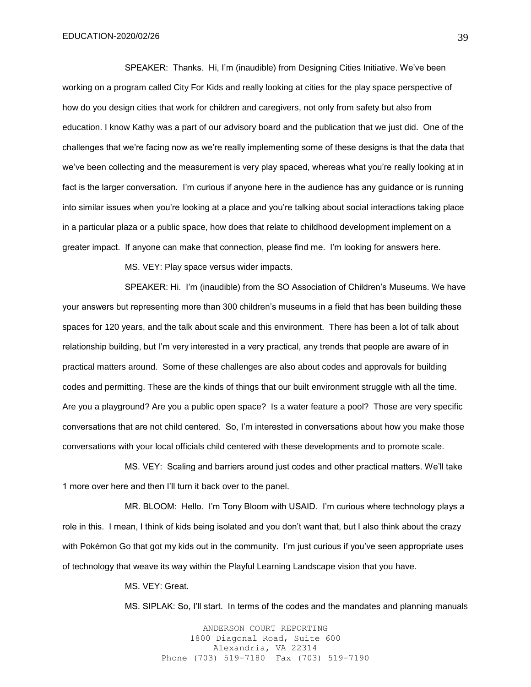SPEAKER: Thanks. Hi, I'm (inaudible) from Designing Cities Initiative. We've been working on a program called City For Kids and really looking at cities for the play space perspective of how do you design cities that work for children and caregivers, not only from safety but also from education. I know Kathy was a part of our advisory board and the publication that we just did. One of the challenges that we're facing now as we're really implementing some of these designs is that the data that we've been collecting and the measurement is very play spaced, whereas what you're really looking at in fact is the larger conversation. I'm curious if anyone here in the audience has any guidance or is running into similar issues when you're looking at a place and you're talking about social interactions taking place in a particular plaza or a public space, how does that relate to childhood development implement on a greater impact. If anyone can make that connection, please find me. I'm looking for answers here.

MS. VEY: Play space versus wider impacts.

SPEAKER: Hi. I'm (inaudible) from the SO Association of Children's Museums. We have your answers but representing more than 300 children's museums in a field that has been building these spaces for 120 years, and the talk about scale and this environment. There has been a lot of talk about relationship building, but I'm very interested in a very practical, any trends that people are aware of in practical matters around. Some of these challenges are also about codes and approvals for building codes and permitting. These are the kinds of things that our built environment struggle with all the time. Are you a playground? Are you a public open space? Is a water feature a pool? Those are very specific conversations that are not child centered. So, I'm interested in conversations about how you make those conversations with your local officials child centered with these developments and to promote scale.

MS. VEY: Scaling and barriers around just codes and other practical matters. We'll take 1 more over here and then I'll turn it back over to the panel.

MR. BLOOM: Hello. I'm Tony Bloom with USAID. I'm curious where technology plays a role in this. I mean, I think of kids being isolated and you don't want that, but I also think about the crazy with Pokémon Go that got my kids out in the community. I'm just curious if you've seen appropriate uses of technology that weave its way within the Playful Learning Landscape vision that you have.

MS. VEY: Great.

MS. SIPLAK: So, I'll start. In terms of the codes and the mandates and planning manuals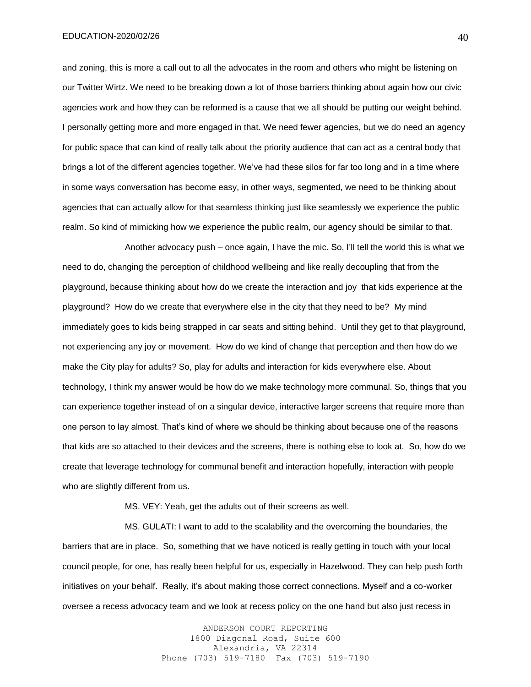and zoning, this is more a call out to all the advocates in the room and others who might be listening on our Twitter Wirtz. We need to be breaking down a lot of those barriers thinking about again how our civic agencies work and how they can be reformed is a cause that we all should be putting our weight behind. I personally getting more and more engaged in that. We need fewer agencies, but we do need an agency for public space that can kind of really talk about the priority audience that can act as a central body that brings a lot of the different agencies together. We've had these silos for far too long and in a time where in some ways conversation has become easy, in other ways, segmented, we need to be thinking about agencies that can actually allow for that seamless thinking just like seamlessly we experience the public realm. So kind of mimicking how we experience the public realm, our agency should be similar to that.

Another advocacy push – once again, I have the mic. So, I'll tell the world this is what we need to do, changing the perception of childhood wellbeing and like really decoupling that from the playground, because thinking about how do we create the interaction and joy that kids experience at the playground? How do we create that everywhere else in the city that they need to be? My mind immediately goes to kids being strapped in car seats and sitting behind. Until they get to that playground, not experiencing any joy or movement. How do we kind of change that perception and then how do we make the City play for adults? So, play for adults and interaction for kids everywhere else. About technology, I think my answer would be how do we make technology more communal. So, things that you can experience together instead of on a singular device, interactive larger screens that require more than one person to lay almost. That's kind of where we should be thinking about because one of the reasons that kids are so attached to their devices and the screens, there is nothing else to look at. So, how do we create that leverage technology for communal benefit and interaction hopefully, interaction with people who are slightly different from us.

MS. VEY: Yeah, get the adults out of their screens as well.

MS. GULATI: I want to add to the scalability and the overcoming the boundaries, the barriers that are in place. So, something that we have noticed is really getting in touch with your local council people, for one, has really been helpful for us, especially in Hazelwood. They can help push forth initiatives on your behalf. Really, it's about making those correct connections. Myself and a co-worker oversee a recess advocacy team and we look at recess policy on the one hand but also just recess in

> ANDERSON COURT REPORTING 1800 Diagonal Road, Suite 600 Alexandria, VA 22314 Phone (703) 519-7180 Fax (703) 519-7190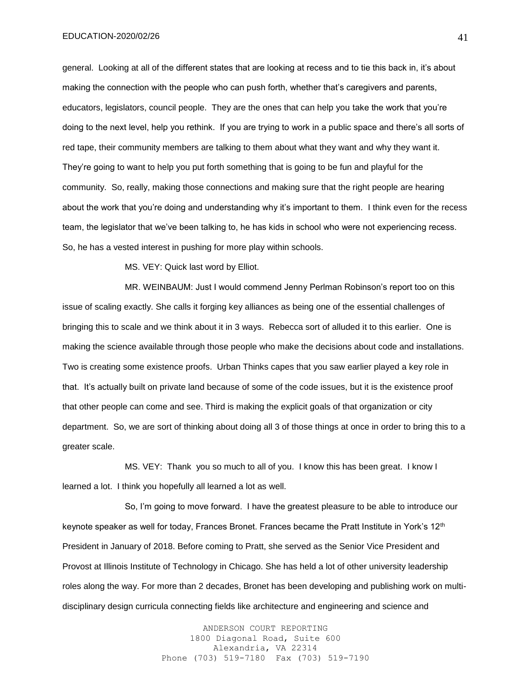general. Looking at all of the different states that are looking at recess and to tie this back in, it's about making the connection with the people who can push forth, whether that's caregivers and parents, educators, legislators, council people. They are the ones that can help you take the work that you're doing to the next level, help you rethink. If you are trying to work in a public space and there's all sorts of red tape, their community members are talking to them about what they want and why they want it. They're going to want to help you put forth something that is going to be fun and playful for the community. So, really, making those connections and making sure that the right people are hearing about the work that you're doing and understanding why it's important to them. I think even for the recess team, the legislator that we've been talking to, he has kids in school who were not experiencing recess. So, he has a vested interest in pushing for more play within schools.

MS. VEY: Quick last word by Elliot.

MR. WEINBAUM: Just I would commend Jenny Perlman Robinson's report too on this issue of scaling exactly. She calls it forging key alliances as being one of the essential challenges of bringing this to scale and we think about it in 3 ways. Rebecca sort of alluded it to this earlier. One is making the science available through those people who make the decisions about code and installations. Two is creating some existence proofs. Urban Thinks capes that you saw earlier played a key role in that. It's actually built on private land because of some of the code issues, but it is the existence proof that other people can come and see. Third is making the explicit goals of that organization or city department. So, we are sort of thinking about doing all 3 of those things at once in order to bring this to a greater scale.

MS. VEY: Thank you so much to all of you. I know this has been great. I know I learned a lot. I think you hopefully all learned a lot as well.

So, I'm going to move forward. I have the greatest pleasure to be able to introduce our keynote speaker as well for today, Frances Bronet. Frances became the Pratt Institute in York's 12<sup>th</sup> President in January of 2018. Before coming to Pratt, she served as the Senior Vice President and Provost at Illinois Institute of Technology in Chicago. She has held a lot of other university leadership roles along the way. For more than 2 decades, Bronet has been developing and publishing work on multidisciplinary design curricula connecting fields like architecture and engineering and science and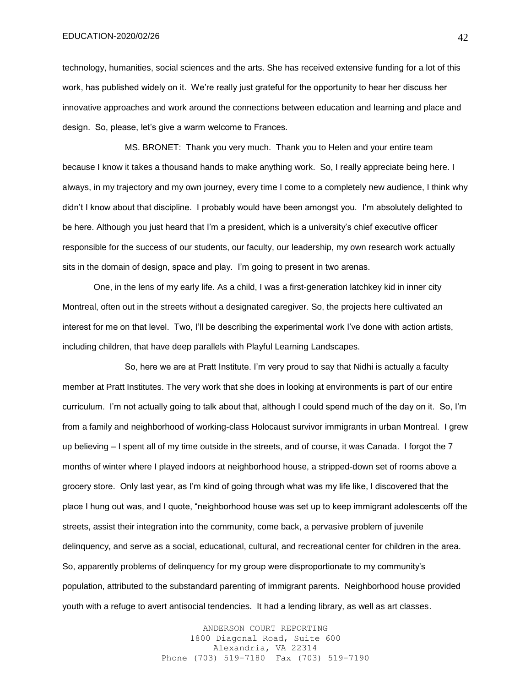technology, humanities, social sciences and the arts. She has received extensive funding for a lot of this work, has published widely on it. We're really just grateful for the opportunity to hear her discuss her innovative approaches and work around the connections between education and learning and place and design. So, please, let's give a warm welcome to Frances.

MS. BRONET: Thank you very much. Thank you to Helen and your entire team because I know it takes a thousand hands to make anything work. So, I really appreciate being here. I always, in my trajectory and my own journey, every time I come to a completely new audience, I think why didn't I know about that discipline. I probably would have been amongst you. I'm absolutely delighted to be here. Although you just heard that I'm a president, which is a university's chief executive officer responsible for the success of our students, our faculty, our leadership, my own research work actually sits in the domain of design, space and play. I'm going to present in two arenas.

One, in the lens of my early life. As a child, I was a first-generation latchkey kid in inner city Montreal, often out in the streets without a designated caregiver. So, the projects here cultivated an interest for me on that level. Two, I'll be describing the experimental work I've done with action artists, including children, that have deep parallels with Playful Learning Landscapes.

So, here we are at Pratt Institute. I'm very proud to say that Nidhi is actually a faculty member at Pratt Institutes. The very work that she does in looking at environments is part of our entire curriculum. I'm not actually going to talk about that, although I could spend much of the day on it. So, I'm from a family and neighborhood of working-class Holocaust survivor immigrants in urban Montreal. I grew up believing – I spent all of my time outside in the streets, and of course, it was Canada. I forgot the 7 months of winter where I played indoors at neighborhood house, a stripped-down set of rooms above a grocery store. Only last year, as I'm kind of going through what was my life like, I discovered that the place I hung out was, and I quote, "neighborhood house was set up to keep immigrant adolescents off the streets, assist their integration into the community, come back, a pervasive problem of juvenile delinquency, and serve as a social, educational, cultural, and recreational center for children in the area. So, apparently problems of delinquency for my group were disproportionate to my community's population, attributed to the substandard parenting of immigrant parents. Neighborhood house provided youth with a refuge to avert antisocial tendencies. It had a lending library, as well as art classes.

> ANDERSON COURT REPORTING 1800 Diagonal Road, Suite 600 Alexandria, VA 22314 Phone (703) 519-7180 Fax (703) 519-7190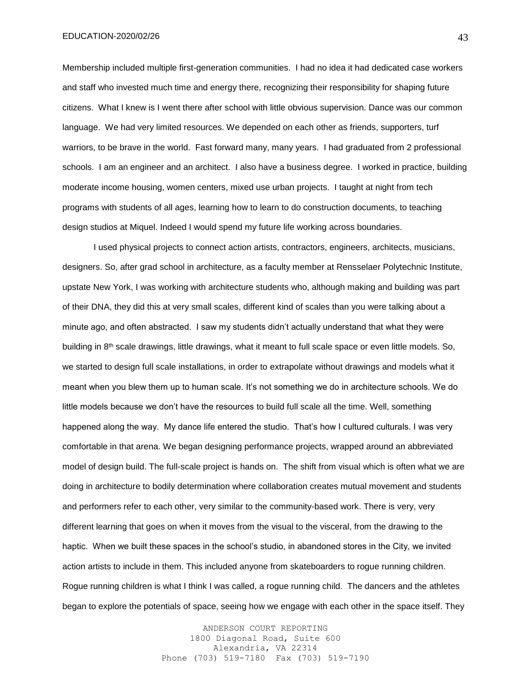Membership included multiple first-generation communities. I had no idea it had dedicated case workers and staff who invested much time and energy there, recognizing their responsibility for shaping future citizens. What I knew is I went there after school with little obvious supervision. Dance was our common language. We had very limited resources. We depended on each other as friends, supporters, turf warriors, to be brave in the world. Fast forward many, many years. I had graduated from 2 professional schools. I am an engineer and an architect. I also have a business degree. I worked in practice, building moderate income housing, women centers, mixed use urban projects. I taught at night from tech programs with students of all ages, learning how to learn to do construction documents, to teaching design studios at Miquel. Indeed I would spend my future life working across boundaries.

I used physical projects to connect action artists, contractors, engineers, architects, musicians, designers. So, after grad school in architecture, as a faculty member at Rensselaer Polytechnic Institute, upstate New York, I was working with architecture students who, although making and building was part of their DNA, they did this at very small scales, different kind of scales than you were talking about a minute ago, and often abstracted. I saw my students didn't actually understand that what they were building in 8th scale drawings, little drawings, what it meant to full scale space or even little models. So, we started to design full scale installations, in order to extrapolate without drawings and models what it meant when you blew them up to human scale. It's not something we do in architecture schools. We do little models because we don't have the resources to build full scale all the time. Well, something happened along the way. My dance life entered the studio. That's how I cultured culturals. I was very comfortable in that arena. We began designing performance projects, wrapped around an abbreviated model of design build. The full-scale project is hands on. The shift from visual which is often what we are doing in architecture to bodily determination where collaboration creates mutual movement and students and performers refer to each other, very similar to the community-based work. There is very, very different learning that goes on when it moves from the visual to the visceral, from the drawing to the haptic. When we built these spaces in the school's studio, in abandoned stores in the City, we invited action artists to include in them. This included anyone from skateboarders to rogue running children. Rogue running children is what I think I was called, a rogue running child. The dancers and the athletes began to explore the potentials of space, seeing how we engage with each other in the space itself. They

> ANDERSON COURT REPORTING 1800 Diagonal Road, Suite 600 Alexandria, VA 22314 Phone (703) 519-7180 Fax (703) 519-7190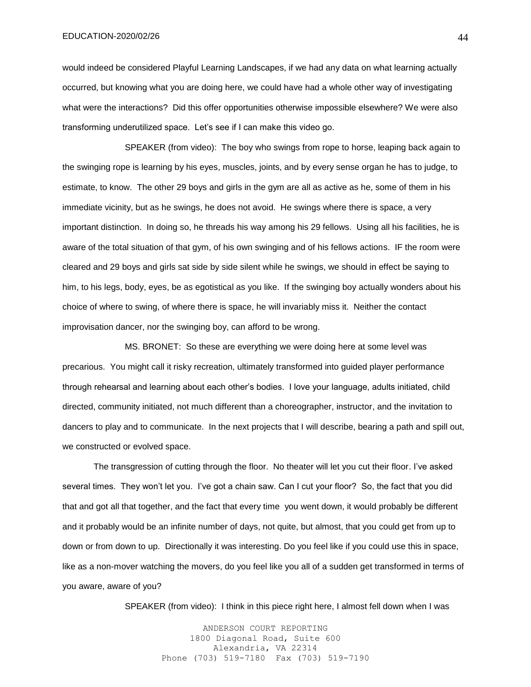would indeed be considered Playful Learning Landscapes, if we had any data on what learning actually occurred, but knowing what you are doing here, we could have had a whole other way of investigating what were the interactions? Did this offer opportunities otherwise impossible elsewhere? We were also transforming underutilized space. Let's see if I can make this video go.

SPEAKER (from video): The boy who swings from rope to horse, leaping back again to the swinging rope is learning by his eyes, muscles, joints, and by every sense organ he has to judge, to estimate, to know. The other 29 boys and girls in the gym are all as active as he, some of them in his immediate vicinity, but as he swings, he does not avoid. He swings where there is space, a very important distinction. In doing so, he threads his way among his 29 fellows. Using all his facilities, he is aware of the total situation of that gym, of his own swinging and of his fellows actions. IF the room were cleared and 29 boys and girls sat side by side silent while he swings, we should in effect be saying to him, to his legs, body, eyes, be as egotistical as you like. If the swinging boy actually wonders about his choice of where to swing, of where there is space, he will invariably miss it. Neither the contact improvisation dancer, nor the swinging boy, can afford to be wrong.

MS. BRONET: So these are everything we were doing here at some level was precarious. You might call it risky recreation, ultimately transformed into guided player performance through rehearsal and learning about each other's bodies. I love your language, adults initiated, child directed, community initiated, not much different than a choreographer, instructor, and the invitation to dancers to play and to communicate. In the next projects that I will describe, bearing a path and spill out, we constructed or evolved space.

The transgression of cutting through the floor. No theater will let you cut their floor. I've asked several times. They won't let you. I've got a chain saw. Can I cut your floor? So, the fact that you did that and got all that together, and the fact that every time you went down, it would probably be different and it probably would be an infinite number of days, not quite, but almost, that you could get from up to down or from down to up. Directionally it was interesting. Do you feel like if you could use this in space, like as a non-mover watching the movers, do you feel like you all of a sudden get transformed in terms of you aware, aware of you?

SPEAKER (from video): I think in this piece right here, I almost fell down when I was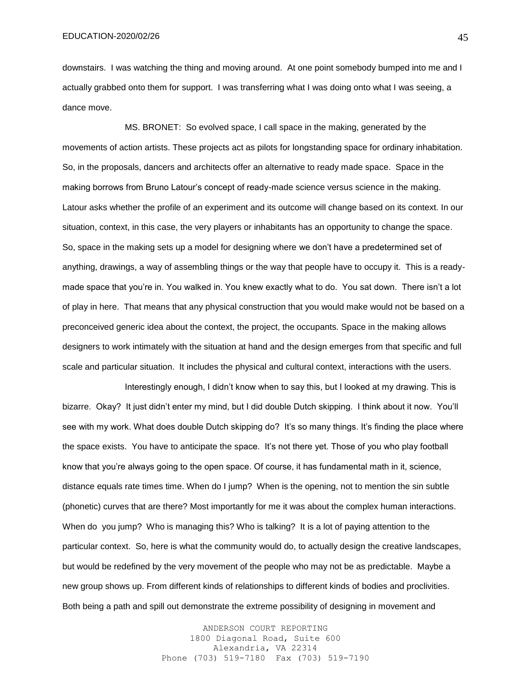downstairs. I was watching the thing and moving around. At one point somebody bumped into me and I actually grabbed onto them for support. I was transferring what I was doing onto what I was seeing, a dance move.

MS. BRONET: So evolved space, I call space in the making, generated by the movements of action artists. These projects act as pilots for longstanding space for ordinary inhabitation. So, in the proposals, dancers and architects offer an alternative to ready made space. Space in the making borrows from Bruno Latour's concept of ready-made science versus science in the making. Latour asks whether the profile of an experiment and its outcome will change based on its context. In our situation, context, in this case, the very players or inhabitants has an opportunity to change the space. So, space in the making sets up a model for designing where we don't have a predetermined set of anything, drawings, a way of assembling things or the way that people have to occupy it. This is a readymade space that you're in. You walked in. You knew exactly what to do. You sat down. There isn't a lot of play in here. That means that any physical construction that you would make would not be based on a preconceived generic idea about the context, the project, the occupants. Space in the making allows designers to work intimately with the situation at hand and the design emerges from that specific and full scale and particular situation. It includes the physical and cultural context, interactions with the users.

Interestingly enough, I didn't know when to say this, but I looked at my drawing. This is bizarre. Okay? It just didn't enter my mind, but I did double Dutch skipping. I think about it now. You'll see with my work. What does double Dutch skipping do? It's so many things. It's finding the place where the space exists. You have to anticipate the space. It's not there yet. Those of you who play football know that you're always going to the open space. Of course, it has fundamental math in it, science, distance equals rate times time. When do I jump? When is the opening, not to mention the sin subtle (phonetic) curves that are there? Most importantly for me it was about the complex human interactions. When do you jump? Who is managing this? Who is talking? It is a lot of paying attention to the particular context. So, here is what the community would do, to actually design the creative landscapes, but would be redefined by the very movement of the people who may not be as predictable. Maybe a new group shows up. From different kinds of relationships to different kinds of bodies and proclivities. Both being a path and spill out demonstrate the extreme possibility of designing in movement and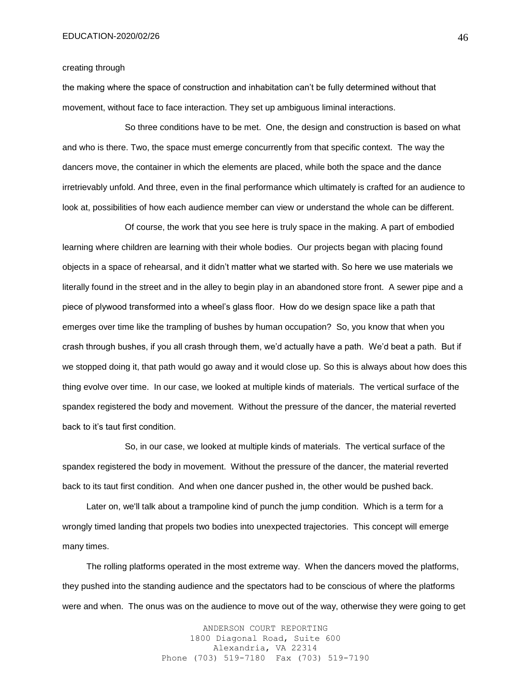### creating through

the making where the space of construction and inhabitation can't be fully determined without that movement, without face to face interaction. They set up ambiguous liminal interactions.

So three conditions have to be met. One, the design and construction is based on what and who is there. Two, the space must emerge concurrently from that specific context. The way the dancers move, the container in which the elements are placed, while both the space and the dance irretrievably unfold. And three, even in the final performance which ultimately is crafted for an audience to look at, possibilities of how each audience member can view or understand the whole can be different.

Of course, the work that you see here is truly space in the making. A part of embodied learning where children are learning with their whole bodies. Our projects began with placing found objects in a space of rehearsal, and it didn't matter what we started with. So here we use materials we literally found in the street and in the alley to begin play in an abandoned store front. A sewer pipe and a piece of plywood transformed into a wheel's glass floor. How do we design space like a path that emerges over time like the trampling of bushes by human occupation? So, you know that when you crash through bushes, if you all crash through them, we'd actually have a path. We'd beat a path. But if we stopped doing it, that path would go away and it would close up. So this is always about how does this thing evolve over time. In our case, we looked at multiple kinds of materials. The vertical surface of the spandex registered the body and movement. Without the pressure of the dancer, the material reverted back to it's taut first condition.

So, in our case, we looked at multiple kinds of materials. The vertical surface of the spandex registered the body in movement. Without the pressure of the dancer, the material reverted back to its taut first condition. And when one dancer pushed in, the other would be pushed back.

 Later on, we'll talk about a trampoline kind of punch the jump condition. Which is a term for a wrongly timed landing that propels two bodies into unexpected trajectories. This concept will emerge many times.

 The rolling platforms operated in the most extreme way. When the dancers moved the platforms, they pushed into the standing audience and the spectators had to be conscious of where the platforms were and when. The onus was on the audience to move out of the way, otherwise they were going to get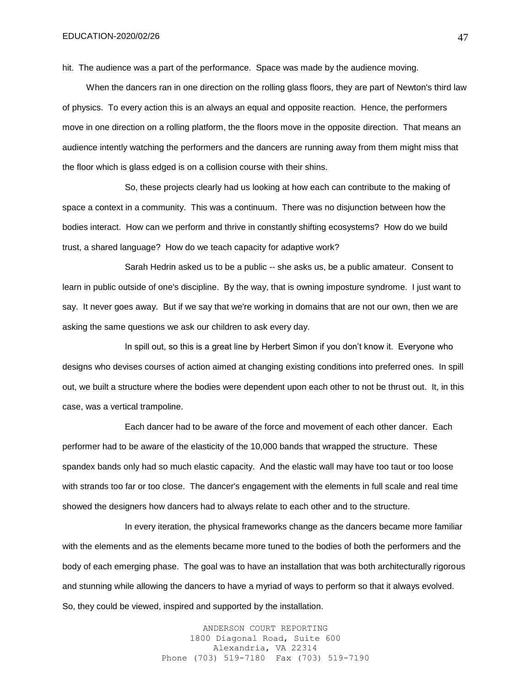hit. The audience was a part of the performance. Space was made by the audience moving.

 When the dancers ran in one direction on the rolling glass floors, they are part of Newton's third law of physics. To every action this is an always an equal and opposite reaction. Hence, the performers move in one direction on a rolling platform, the the floors move in the opposite direction. That means an audience intently watching the performers and the dancers are running away from them might miss that the floor which is glass edged is on a collision course with their shins.

So, these projects clearly had us looking at how each can contribute to the making of space a context in a community. This was a continuum. There was no disjunction between how the bodies interact. How can we perform and thrive in constantly shifting ecosystems? How do we build trust, a shared language? How do we teach capacity for adaptive work?

Sarah Hedrin asked us to be a public -- she asks us, be a public amateur. Consent to learn in public outside of one's discipline. By the way, that is owning imposture syndrome. I just want to say. It never goes away. But if we say that we're working in domains that are not our own, then we are asking the same questions we ask our children to ask every day.

In spill out, so this is a great line by Herbert Simon if you don't know it. Everyone who designs who devises courses of action aimed at changing existing conditions into preferred ones. In spill out, we built a structure where the bodies were dependent upon each other to not be thrust out. It, in this case, was a vertical trampoline.

Each dancer had to be aware of the force and movement of each other dancer. Each performer had to be aware of the elasticity of the 10,000 bands that wrapped the structure. These spandex bands only had so much elastic capacity. And the elastic wall may have too taut or too loose with strands too far or too close. The dancer's engagement with the elements in full scale and real time showed the designers how dancers had to always relate to each other and to the structure.

In every iteration, the physical frameworks change as the dancers became more familiar with the elements and as the elements became more tuned to the bodies of both the performers and the body of each emerging phase. The goal was to have an installation that was both architecturally rigorous and stunning while allowing the dancers to have a myriad of ways to perform so that it always evolved. So, they could be viewed, inspired and supported by the installation.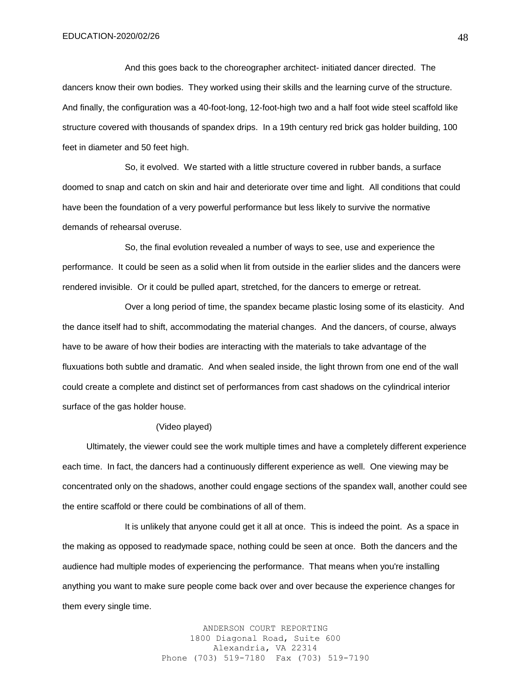And this goes back to the choreographer architect- initiated dancer directed. The dancers know their own bodies. They worked using their skills and the learning curve of the structure. And finally, the configuration was a 40-foot-long, 12-foot-high two and a half foot wide steel scaffold like structure covered with thousands of spandex drips. In a 19th century red brick gas holder building, 100 feet in diameter and 50 feet high.

So, it evolved. We started with a little structure covered in rubber bands, a surface doomed to snap and catch on skin and hair and deteriorate over time and light. All conditions that could have been the foundation of a very powerful performance but less likely to survive the normative demands of rehearsal overuse.

So, the final evolution revealed a number of ways to see, use and experience the performance. It could be seen as a solid when lit from outside in the earlier slides and the dancers were rendered invisible. Or it could be pulled apart, stretched, for the dancers to emerge or retreat.

Over a long period of time, the spandex became plastic losing some of its elasticity. And the dance itself had to shift, accommodating the material changes. And the dancers, of course, always have to be aware of how their bodies are interacting with the materials to take advantage of the fluxuations both subtle and dramatic. And when sealed inside, the light thrown from one end of the wall could create a complete and distinct set of performances from cast shadows on the cylindrical interior surface of the gas holder house.

#### (Video played)

 Ultimately, the viewer could see the work multiple times and have a completely different experience each time. In fact, the dancers had a continuously different experience as well. One viewing may be concentrated only on the shadows, another could engage sections of the spandex wall, another could see the entire scaffold or there could be combinations of all of them.

It is unlikely that anyone could get it all at once. This is indeed the point. As a space in the making as opposed to readymade space, nothing could be seen at once. Both the dancers and the audience had multiple modes of experiencing the performance. That means when you're installing anything you want to make sure people come back over and over because the experience changes for them every single time.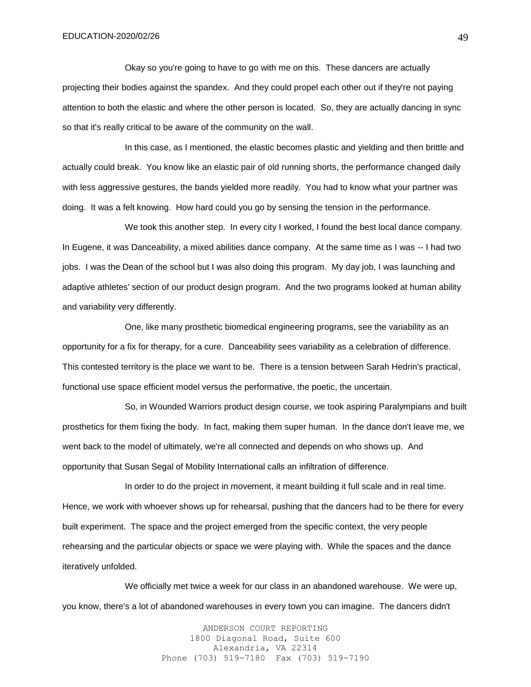Okay so you're going to have to go with me on this. These dancers are actually projecting their bodies against the spandex. And they could propel each other out if they're not paying attention to both the elastic and where the other person is located. So, they are actually dancing in sync so that it's really critical to be aware of the community on the wall.

In this case, as I mentioned, the elastic becomes plastic and yielding and then brittle and actually could break. You know like an elastic pair of old running shorts, the performance changed daily with less aggressive gestures, the bands yielded more readily. You had to know what your partner was doing. It was a felt knowing. How hard could you go by sensing the tension in the performance.

We took this another step. In every city I worked, I found the best local dance company. In Eugene, it was Danceability, a mixed abilities dance company. At the same time as I was -- I had two jobs. I was the Dean of the school but I was also doing this program. My day job, I was launching and adaptive athletes' section of our product design program. And the two programs looked at human ability and variability very differently.

One, like many prosthetic biomedical engineering programs, see the variability as an opportunity for a fix for therapy, for a cure. Danceability sees variability as a celebration of difference. This contested territory is the place we want to be. There is a tension between Sarah Hedrin's practical, functional use space efficient model versus the performative, the poetic, the uncertain.

So, in Wounded Warriors product design course, we took aspiring Paralympians and built prosthetics for them fixing the body. In fact, making them super human. In the dance don't leave me, we went back to the model of ultimately, we're all connected and depends on who shows up. And opportunity that Susan Segal of Mobility International calls an infiltration of difference.

In order to do the project in movement, it meant building it full scale and in real time. Hence, we work with whoever shows up for rehearsal, pushing that the dancers had to be there for every built experiment. The space and the project emerged from the specific context, the very people rehearsing and the particular objects or space we were playing with. While the spaces and the dance iteratively unfolded.

We officially met twice a week for our class in an abandoned warehouse. We were up, you know, there's a lot of abandoned warehouses in every town you can imagine. The dancers didn't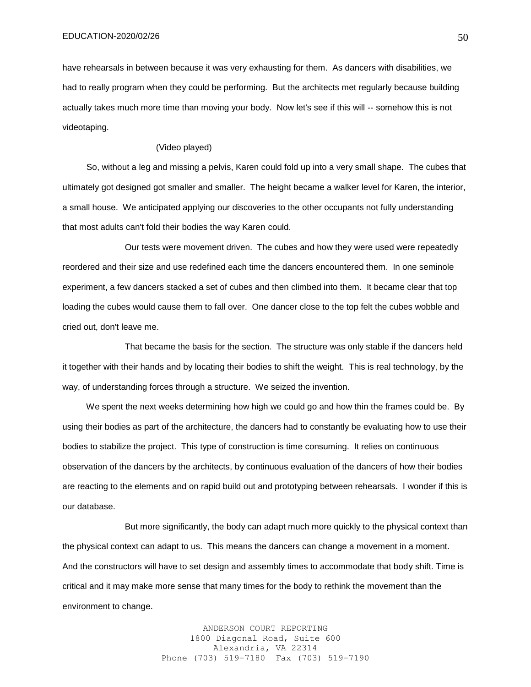have rehearsals in between because it was very exhausting for them. As dancers with disabilities, we had to really program when they could be performing. But the architects met regularly because building actually takes much more time than moving your body. Now let's see if this will -- somehow this is not videotaping.

## (Video played)

 So, without a leg and missing a pelvis, Karen could fold up into a very small shape. The cubes that ultimately got designed got smaller and smaller. The height became a walker level for Karen, the interior, a small house. We anticipated applying our discoveries to the other occupants not fully understanding that most adults can't fold their bodies the way Karen could.

Our tests were movement driven. The cubes and how they were used were repeatedly reordered and their size and use redefined each time the dancers encountered them. In one seminole experiment, a few dancers stacked a set of cubes and then climbed into them. It became clear that top loading the cubes would cause them to fall over. One dancer close to the top felt the cubes wobble and cried out, don't leave me.

That became the basis for the section. The structure was only stable if the dancers held it together with their hands and by locating their bodies to shift the weight. This is real technology, by the way, of understanding forces through a structure. We seized the invention.

We spent the next weeks determining how high we could go and how thin the frames could be. By using their bodies as part of the architecture, the dancers had to constantly be evaluating how to use their bodies to stabilize the project. This type of construction is time consuming. It relies on continuous observation of the dancers by the architects, by continuous evaluation of the dancers of how their bodies are reacting to the elements and on rapid build out and prototyping between rehearsals. I wonder if this is our database.

But more significantly, the body can adapt much more quickly to the physical context than the physical context can adapt to us. This means the dancers can change a movement in a moment. And the constructors will have to set design and assembly times to accommodate that body shift. Time is critical and it may make more sense that many times for the body to rethink the movement than the environment to change.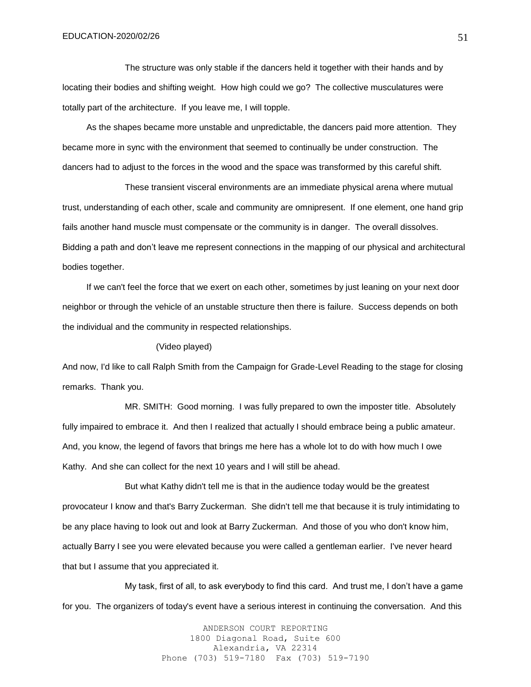The structure was only stable if the dancers held it together with their hands and by locating their bodies and shifting weight. How high could we go? The collective musculatures were totally part of the architecture. If you leave me, I will topple.

 As the shapes became more unstable and unpredictable, the dancers paid more attention. They became more in sync with the environment that seemed to continually be under construction. The dancers had to adjust to the forces in the wood and the space was transformed by this careful shift.

These transient visceral environments are an immediate physical arena where mutual trust, understanding of each other, scale and community are omnipresent. If one element, one hand grip fails another hand muscle must compensate or the community is in danger. The overall dissolves. Bidding a path and don't leave me represent connections in the mapping of our physical and architectural bodies together.

 If we can't feel the force that we exert on each other, sometimes by just leaning on your next door neighbor or through the vehicle of an unstable structure then there is failure. Success depends on both the individual and the community in respected relationships.

## (Video played)

And now, I'd like to call Ralph Smith from the Campaign for Grade-Level Reading to the stage for closing remarks. Thank you.

MR. SMITH: Good morning. I was fully prepared to own the imposter title. Absolutely fully impaired to embrace it. And then I realized that actually I should embrace being a public amateur. And, you know, the legend of favors that brings me here has a whole lot to do with how much I owe Kathy. And she can collect for the next 10 years and I will still be ahead.

But what Kathy didn't tell me is that in the audience today would be the greatest provocateur I know and that's Barry Zuckerman. She didn't tell me that because it is truly intimidating to be any place having to look out and look at Barry Zuckerman. And those of you who don't know him, actually Barry I see you were elevated because you were called a gentleman earlier. I've never heard that but I assume that you appreciated it.

My task, first of all, to ask everybody to find this card. And trust me, I don't have a game for you. The organizers of today's event have a serious interest in continuing the conversation. And this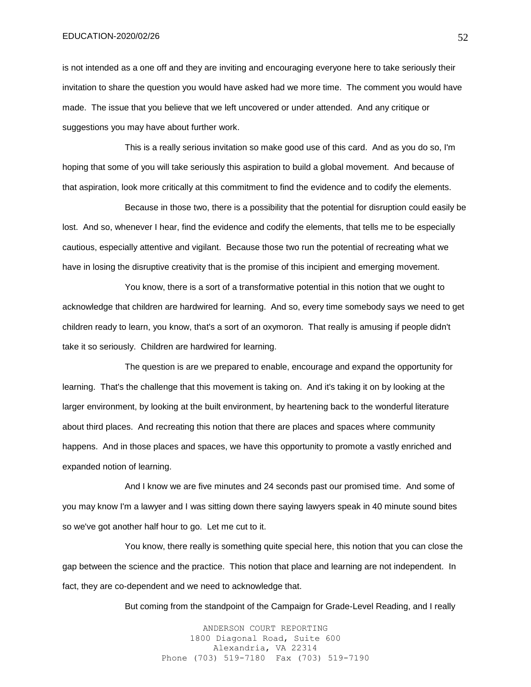is not intended as a one off and they are inviting and encouraging everyone here to take seriously their invitation to share the question you would have asked had we more time. The comment you would have made. The issue that you believe that we left uncovered or under attended. And any critique or suggestions you may have about further work.

This is a really serious invitation so make good use of this card. And as you do so, I'm hoping that some of you will take seriously this aspiration to build a global movement. And because of that aspiration, look more critically at this commitment to find the evidence and to codify the elements.

Because in those two, there is a possibility that the potential for disruption could easily be lost. And so, whenever I hear, find the evidence and codify the elements, that tells me to be especially cautious, especially attentive and vigilant. Because those two run the potential of recreating what we have in losing the disruptive creativity that is the promise of this incipient and emerging movement.

You know, there is a sort of a transformative potential in this notion that we ought to acknowledge that children are hardwired for learning. And so, every time somebody says we need to get children ready to learn, you know, that's a sort of an oxymoron. That really is amusing if people didn't take it so seriously. Children are hardwired for learning.

The question is are we prepared to enable, encourage and expand the opportunity for learning. That's the challenge that this movement is taking on. And it's taking it on by looking at the larger environment, by looking at the built environment, by heartening back to the wonderful literature about third places. And recreating this notion that there are places and spaces where community happens. And in those places and spaces, we have this opportunity to promote a vastly enriched and expanded notion of learning.

And I know we are five minutes and 24 seconds past our promised time. And some of you may know I'm a lawyer and I was sitting down there saying lawyers speak in 40 minute sound bites so we've got another half hour to go. Let me cut to it.

You know, there really is something quite special here, this notion that you can close the gap between the science and the practice. This notion that place and learning are not independent. In fact, they are co-dependent and we need to acknowledge that.

But coming from the standpoint of the Campaign for Grade-Level Reading, and I really

ANDERSON COURT REPORTING 1800 Diagonal Road, Suite 600 Alexandria, VA 22314 Phone (703) 519-7180 Fax (703) 519-7190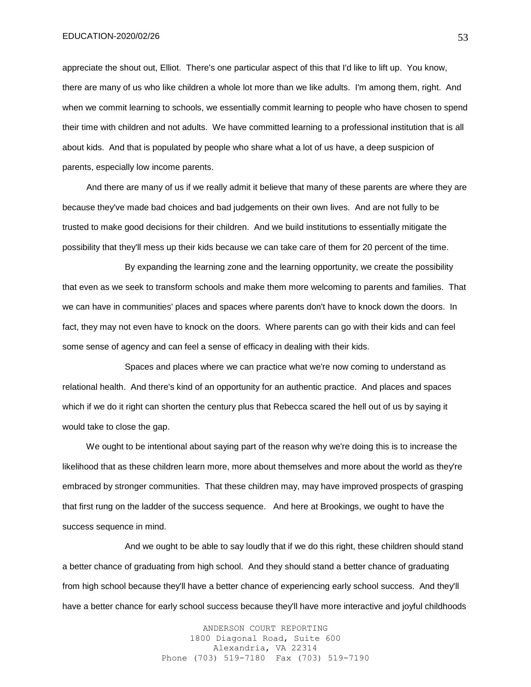appreciate the shout out, Elliot. There's one particular aspect of this that I'd like to lift up. You know, there are many of us who like children a whole lot more than we like adults. I'm among them, right. And when we commit learning to schools, we essentially commit learning to people who have chosen to spend their time with children and not adults. We have committed learning to a professional institution that is all about kids. And that is populated by people who share what a lot of us have, a deep suspicion of parents, especially low income parents.

 And there are many of us if we really admit it believe that many of these parents are where they are because they've made bad choices and bad judgements on their own lives. And are not fully to be trusted to make good decisions for their children. And we build institutions to essentially mitigate the possibility that they'll mess up their kids because we can take care of them for 20 percent of the time.

By expanding the learning zone and the learning opportunity, we create the possibility that even as we seek to transform schools and make them more welcoming to parents and families. That we can have in communities' places and spaces where parents don't have to knock down the doors. In fact, they may not even have to knock on the doors. Where parents can go with their kids and can feel some sense of agency and can feel a sense of efficacy in dealing with their kids.

Spaces and places where we can practice what we're now coming to understand as relational health. And there's kind of an opportunity for an authentic practice. And places and spaces which if we do it right can shorten the century plus that Rebecca scared the hell out of us by saying it would take to close the gap.

 We ought to be intentional about saying part of the reason why we're doing this is to increase the likelihood that as these children learn more, more about themselves and more about the world as they're embraced by stronger communities. That these children may, may have improved prospects of grasping that first rung on the ladder of the success sequence. And here at Brookings, we ought to have the success sequence in mind.

And we ought to be able to say loudly that if we do this right, these children should stand a better chance of graduating from high school. And they should stand a better chance of graduating from high school because they'll have a better chance of experiencing early school success. And they'll have a better chance for early school success because they'll have more interactive and joyful childhoods

> ANDERSON COURT REPORTING 1800 Diagonal Road, Suite 600 Alexandria, VA 22314 Phone (703) 519-7180 Fax (703) 519-7190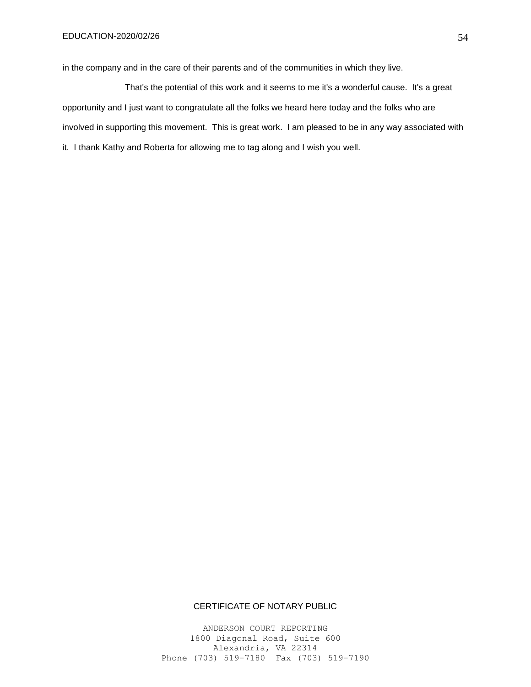in the company and in the care of their parents and of the communities in which they live.

That's the potential of this work and it seems to me it's a wonderful cause. It's a great opportunity and I just want to congratulate all the folks we heard here today and the folks who are involved in supporting this movement. This is great work. I am pleased to be in any way associated with it. I thank Kathy and Roberta for allowing me to tag along and I wish you well.

## CERTIFICATE OF NOTARY PUBLIC